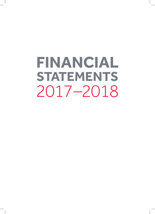**FINANCIAL STATEMENTS** 2017–2018

 $\blacksquare$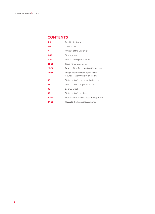# **CONTENTS**

| $3 - 4$   | President's foreword                                                        |
|-----------|-----------------------------------------------------------------------------|
| $5 - 6$   | The Council                                                                 |
| 7         | Officers of the University                                                  |
| $8 - 19$  | Strategic report                                                            |
| $20 - 22$ | Statement on public benefit                                                 |
| $23 - 28$ | Governance statement                                                        |
| $29 - 32$ | Report of the Remuneration Committee                                        |
| $33 - 35$ | Independent auditor's report to the<br>Council of the University of Reading |
| 36        | Statement of comprehensive income                                           |
| 37        | Statement of changes in reserves                                            |
| 38        | Balance sheet                                                               |
| 39        | Statement of cash flows                                                     |
| $40 - 46$ | Statement of principal accounting policies                                  |
| $47 - 69$ | Notes to the financial statements                                           |

 $\overline{\phantom{a}}$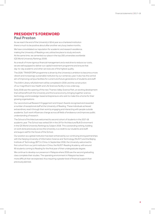# **PRESIDENT'S FOREWORD Paul Preston**

As we reach the end of the University's 92nd year as a chartered institution there is much to be positive about after another very busy twelve months.

We have consolidated our reputation for academic and research excellence, making the University of Reading a very attractive place to study and work. At the same time, we cemented our place in the top 200 universities worldwide (QS World University Rankings 2019).

As a result of more rigorous financial management and a real drive to reduce our costs, we are well equipped to deliver our capital investment programme and ensure that day-to-day academic and other services are of the highest quality.

The 2026: TRANSFORM programme is driven by the University's ambition to become a more vibrant and increasingly sustainable institution by our centenary year. It also has the central aim of improving campus facilities for current and future generations of students and staff.

The £45m Library refurbishment will be completed in 2019; and the construction of our magnificent new Health and Life Sciences facility is now underway.

Early 2018 saw the opening of the new Thames Valley Science Park, an exciting development that will benefit both the University and the local economy, bringing together science, technology, and knowledge-based entrepreneurs who wish to make this a home for their growing organisations.

Our second annual Research Engagement and Impact Awards recognised and rewarded a number of exceptional staff at the University of Reading. These individuals achieved extraordinary reach through their work by engaging and interacting with people outside academia. Such work influences change across all fields of endeavour and improves public understanding of research.

The School of Architecture welcomed its second cohort of students in the 2017–18 academic year. The School was ranked 5th in the UK for Architecture/Built Environment in the QS World University Rankings by Subject 2018. This outstanding ranking, building on work done previously across the University, is a credit to our students and staff, and augurs well for the future of the School.

Our position as a global institution has been enhanced by our continuing strong partnerships with the Nanjing University of Information Science and Technology (NUIST) and the Beijing Institute of Technology (BIT) in China. In September 2018, the University welcomed its first cohort from our joint institute in China, the NUIST-Reading Academy, with around 90 students coming to Reading for the final year of their undergraduate degree.

We continue to develop our presence in Malaysia where 2018 saw the second graduating class complete their studies. The operating environment in Malaysia has been more difficult than we expected, thus requiring a greater level of financial support than previously planned.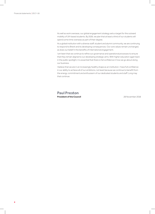As well as work overseas, our global engagement strategy sets a target for the outward mobility of UK-based students. By 2026, we plan that at least a third of our students will spend some time overseas as part of their degree.

As a global institution with a diverse staff, student and alumni community, we are continuing to respond to Brexit and its developing consequences. Our core values remain unchanged, as does our belief in the benefits of international engagement.

I am keen that we continue to refine our governance and operational processes to ensure that they remain aligned to our developing strategic aims. With higher education again back in the public spotlight, it is essential that there is full confidence in how we go about doing our business.

I believe that we are in an increasingly healthy shape as an institution. I have full confidence in our ability to achieve all of our ambitions, not least because we continue to benefit from the energy, commitment and enthusiasm of our dedicated students and staff. Long may that continue.

## **Paul Preston President of the Council**

28 November 2018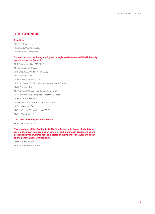# **THE COUNCIL**

## **Ex officio**

The Vice-Chancellor The Deputy Vice-Chancellor The Pro-Vice-Chancellors

## **Sixteen persons not being employees or registered students of the University appointed by the Council**

Mr T. Beardmore-Gray, MA, FCA<sup>2</sup> Mr K. Corrigan, BA, FCCA Lord Crisp, KCB, MA (to 1 March 2018) Mrs P. Egan, BA, CBE Dr P.A. Erskine, BA, Hon LLD Mr R.E.R. Evans, BSc, FRICS (Vice-President of the Council) <sup>1</sup> Ms H. Gordon, MBA Mrs K. Owen, BA (Vice-President of the Council)<sup>5</sup> Dr P.R. Preston, BSc, PhD (President of the Council)<sup>3,4</sup> Mr S.C.C. Pryce, BSc, ACA<sup>6</sup> Dr B. Rawal, BSc, MBBS, MSc, FRCPath, FFPM Mr S.P. Sherman, FCA Ms S.L. Webber, BSc (until 1 March 2018) Ms S.M. Woodman, BA

## **The Dean of Henley Business School**

Prof J.L.G. Board, BA, PhD

**Two members of the Academic Staff of the Leadership Group elected from among their own number in such a manner and under such conditions as are prescribed by the Council for the election of members of the Academic Staff to the Senate under Ordinance A1**

Prof L.T. Butler, BA, PhD Prof J.R. Park, BSc, CertEd, PhD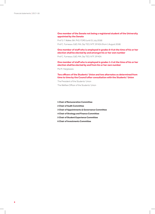## **One member of the Senate not being a registered student of the University appointed by the Senate**

Prof S. F. Walker, BA, PhD, FDRS (until 31 July 2018) Prof C. Furneaux, EdD, MA, Dip TEO, NTF, SFHEA (from 1 August 2018)

**One member of staff who is employed in grades 6–9 at the time of his or her election shall be elected by and amongst his or her own number** 

Prof C. Furneaux, EdD, MA, Dip TEO, NTF, SFHEA

**One member of staff who is employed in grades 1–5 at the time of his or her election shall be elected by and from his or her own number**

Ms M. Hargreaves

## **Two officers of the Students' Union and two alternates as determined from time to time by the Council after consultation with the Students' Union**

The President of the Students' Union

The Welfare Officer of the Students' Union

- **1 Chair of Remuneration Committee**
- **2 Chair of Audit Committee**
- **3 Chair of Appointments & Governance Committee**
- **4 Chair of Strategy and Finance Committee**
- **5 Chair of Student Experience Committee**
- **6 Chair of Investments Committee**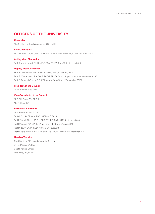# **OFFICERS OF THE UNIVERSITY**

## **Chancellor**

The Rt. Hon. the Lord Waldegrave of North Hill

## **Vice-Chancellor**

Sir David Bell, KCB, MA, MEd, DipEd, PGCE, HonDUniv, HonEdD (until 21 September 2018)

## **Acting Vice-Chancellor**

Prof. R. Van de Noort, BA, Drs, PhD, FSA, PFHEA (from 22 September 2018)

## **Deputy Vice-Chancellor**

Prof. S.J. Mithen, BA, MSc, PhD, FSA (Scot), FBA (until 31 July 2018) Prof. R. Van de Noort, BA, Drs, PhD, FSA, PFHEA (from 1 August 2018 to 21 September 2018) Prof. G. Brooks, BPharm, PhD, MRPharmS, FAHA (from 22 September 2018)

## **President of the Council**

Dr P.R. Preston, BSc, PhD

## **Vice-Presidents of the Council**

Mr R.E.R. Evans, BSc, FRICS Mrs K. Owen, BA

## **Pro-Vice-Chancellors**

Mr V. Raimo, BA, MA, FCIM Prof G. Brooks, BPharm, PhD, MRPharmS, FAHA Prof R. Van de Noort, BA, Drs, PhD, FSA, PFHEA (until 21 September 2018) Prof P. Yaqoob, MA, DPHIL, RNutr, Fafn, FHEA (from 1 August 2018) Prof D. Zaum, BA, MPhil, DPhil (from 1 August 2018) Prof M. Fellowes BSc, ARCS, PhD, DIC, PgCert, FRSB (from 22 September 2018)

## **Heads of Service**

Chief Strategy Officer and University Secretary Dr R.J. Messer, BA, PhD Chief Financial Officer Ms S. Foley, BA, FCPFA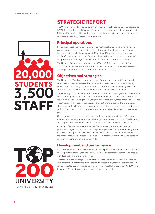# **STRATEGIC REPORT**

The University of Reading has its roots in University College Reading which was established in 1892. It received its Royal Charter in 1926 and has since developed into a leading force in British and international higher education. It is a global university that enjoys a world-class reputation for teaching, research and enterprise.

# **Principal operations**

Research and teaching are currently grouped into Schools which are situated on three campuses in the UK. The University is very active internationally and has operations in many countries including campuses in Malaysia and South Africa. It has in excess of 20,000 students, around 15% of whom are based off-shore, across a broad range of disciplines and attracts high quality students and academics from around the world.

The University's key resources include over 3,500 staff (full-person equivalent) from 93 countries, extensive teaching space and laboratories, access to cutting edge research, a strong reputation in the UK and a growing reputation overseas.

# **Objectives and strategies**

The University of Reading has a proud history of innovation and social influence which stretches back over many years. The University has developed and adopted a strategy which builds on its strengths and enables it to stand out as a forward-looking, confident and distinctive university in this rapidly growing and competitive environment.

The University's vision is that it will be a vibrant, thriving, sustainable, global and broad-based institution, responsive to, stimulated by and informing changes in the world around it. As a result, it will also become significantly larger in terms of students, global reach and presence. The strategy which it has developed is designed to transform the way the University is structured, the teaching and learning programmes it offers and the research it undertakes, and is designed to strengthen the position of the University as it approaches its centenary year in 2026.

Underpinning the University's strategy are the four fundamental principles of academic excellence, global engagement, financial strength and a thriving community. The University aims to generate sustainable financial surpluses to facilitate renewal and investment.

A number of key performance indicators (KPIs) have been developed to measure performance against objectives in areas of prime importance. KPIs are informed by external data which allows performance to be benchmarked against the rest of the sector. KPIs are reviewed regularly and responsive action taken where necessary. This report contains information on the University's current KPIs.

# **Development and performance**

Over 7,900 students commenced undergraduate or postgraduate programmes at Reading UK campuses during the year, and over 10,500 students commenced some form of study with Reading both in the UK and abroad.

The University was ranked joint 195th in the QS World University Rankings 2019 and was 28th amongst UK institutions. This is the fourth consecutive year that Reading has been ranked in the top 200 universities worldwide. In the Times Higher Education World University Rankings 2018, Reading was ranked 33rd amongst UK universities.



**TUDENT** 

**STAFF** 

3,5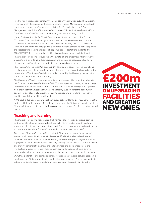Reading was ranked 32nd nationally in the Complete University Guide 2019. The University is number one in the country for the study of Land & Property Management for the fourth consecutive year. A total of six subjects are in the Top Ten, including: Land & Property Management (1st), Building (4th), Aural & Oral Sciences (7th), Agriculture & Forestry (8th), Food Science (9th) and Town & Country Planning & Landscape Design (10th).

Henley Business School's Full-Time MBA was ranked 5th in the UK and 15th in Europe (Economist Full-time MBA Rankings 2017) and its Executive MBA was ranked 4th in the UK and 27th in the world (the Economist Executive MBA Rankings 2018).The University is investing over £200 million on upgrading existing facilities and creating new ones to provide the best teaching, learning and research opportunities for its staff and students. The 2026:TRANSFORM programme is a significant commitment towards realising its vision.

The University of Reading Malaysia (UoRM) is a state-of-the-art campus which allows the University to project its world-leading research and teaching across Asia, while offering students and staff outstanding opportunities to study and work abroad.

The Thames Valley Science Park opened in 2018 and aims to attract innovative small and medium-sized technology-based companies that are researching and delivering innovative new products. The Science Park is located on land owned by the University located to the south of the M4 in Shinfield near Reading.

The University of Reading has a long-established relationship with the Nanjing University of Information Science and Technology (NUIST), China's premier university in meteorology. The two institutions have now established a joint academy, after receiving formal approval from the Ministry of Education of China. The academy gives students the opportunity to study for one of several University of Reading degrees entirely in China or through a combination of study in China and the UK.

A 4+0 double degree programme has been forged between Henley Business School and the Beijing Institute of Technology (BIT) with full support from the Ministry of Education of China. Nearly 500 students are following the BA accounting programme. The first cohort graduated in 2017.

# **Teaching and learning**

The University of Reading has a long and rich heritage of delivering a distinctive learning environment for students; we are a global, research-intensive university with teaching, learning and the student experience at our heart. Our ethos is one of working in partnership with our students and the Students' Union, and of strong support for our staff.

Our renewed Teaching & Learning Strategy 2018–21, sets out our commitment to equip learners at all stages of their careers to develop and fulfil their intellectual and personal potential. Graduates of the University of Reading will have developed a range of attributes to prepare them for 21st century lives, including: mastery of their discipline; skills in research and enquiry; personal effectiveness and self awareness; and global engagement and multicultural awareness. Through this approach, our students benefit from extensive opportunities within and beyond the curriculum that add value to their university experience.

Our Strategy identifies two strategic priorities for the next three years: delivering academic excellence and offering an outstanding student learning experience. A number of strategic enhancement projects are currently in progress to support these priorities, including:

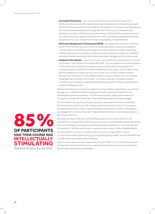- **• Curriculum Framework** the Curriculum Framework is a vehicle for programme enhancement; positioning the student experience and acquisition of essential graduate attributes at the very centre of our ambitions. All academic Schools are currently reviewing their undergraduate programmes to align with the University's core academic and pedagogic principles. Whilst recognising the primacy of the discipline, programme teams have identified priority areas for enhancement, which include assessment and feedback, diversity and inclusion, research and enquiry, employability, and globalisation.
- **• Electronic Management of Assessment (EMA)** our significant investment in EMA will deliver the University's long-term vision for online submission, marking and feedback. This will support a consistently good assessment experience for students, reduce the administrative burden for academic staff, and increase visibility and analytical capabilities with all summative assessment information and marks managed centrally and securely.
- **Academic Tutor System** we are evolving our well-established tutoring system to launch an Academic Tutor System from September 2018. Our new system focuses the Academic Tutor relationship on students' academic, personal and professional development; provides essential discipline/School level leadership for the system; works in partnership with our professional support services; and invests in our student welfare provision through the introduction of a new Welfare Team to support students with any personal challenges that may affect their studies. This holistic approach will enable students and staff to work together in partnership to enhance students' academic, personal and professional development.

We are committed to investment to support teaching and learning excellence, as reflected through our accredited FLAIR (Facilitating Learning and Teaching Achievement and Individual Recognition) Framework. The Framework enables staff to gain professional recognition through HEA Fellowships. Thus far 804 fellowships have been awarded.

The University's five Teaching and Learning Deans, alongside the Pro-Vice-Chancellor for Teaching and Learning, provide strategic leadership and lead activity in their areas of particular responsibility: quality, student experience, international, student achievement, and engagement and future direction. They also lead University-wide strategic projects in teaching and learning.

Each year, the National Student Survey (NSS) provides the University with the most comprehensive, independent and full picture about how undergraduate students feel about their time at Reading, including their teaching and learning experience. The 2018 NSS was completed by 2,145 final-year students, representing the views of 66% of eligible finalists.

Overall satisfaction remains consistent with the sector average of 83%. Finalists commended teaching staff for being good at explaining things (88%) and a further 85% said that the course was intellectually stimulating.

These survey results provide an opportunity for us to reflect on our achievements as well as helping to understand where we can make improvements to continue to enhance the

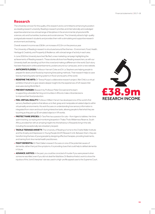# **Research**

The University is known for the quality of its research and is committed to enhancing its position as a leading research university. Reading's research priorities and internationally acknowledged expertise extend across a broad range of disciplines in the environmental, physical and life sciences, arts and humanities, business and social sciences. The University attracts high-quality postgraduate research students and provides them with a stimulating and supportive research environment and training.

Overall, research income was £38.9m, an increase of £3.3m on the previous year.

The University of Reading's research is structured around five themes–Environment, Food, Health, Heritage & Creativity, and Prosperity & Resilience, with a broad range of activity in each area.

In June 2018 the University launched 'Be Red', a new marketing campaign highlighting the achievements of Reading research. These stories all show how Reading researchers, as with our University itself, are standing out from the crowd and making a difference in the world. Each story has been featured in online advertisements, posters around our campuses, and in a new website.

- **ANTICIPATE FLOODS:** Professor Hannah Cloke and Dr Liz Stephens are helping people to prepare for destructive floods by improving forecasting methods. Their research helps to save lives by improving early warning systems in flood-prone parts of the world.
- REDEFINE THE ARTS: Dr Teresa Murjas's collaborative research project, War Child, is a virtual exhibition that aims to give viewers deeper insight into the experiences of UK-based child evacuees during World War II.
- **• PREVENT HUNGER:** Research by Professor Peter Dorward and his team is supporting vulnerable farming communities in Africa to make critical decisions to improve their food production.
- **FEEL VIRTUAL REALITY:** Professor William Harwin has developed one of the world's first sensory feedback systems that allows us to feel, grasp and manipulate simulated objects within virtual reality environments. His work focuses on understanding how sensory information is integrated from vision and touch during interactive tasks, allowing people to feel what they are touching as they pick up 3D simulated objects in VR worlds.
- PROTECT RARE SPECIES: Dr Tara Pirie has a passion for cats-from tigers to tabbies. Her time spent tracking, surveying and monitoring leopards in Thaba Tholo Wilderness Reserve, South Africa, provided her with an amazing insight into the behaviour of leopards living in the wild, including the exceptionally rare strawberry leopard.
- **TACKLE TEENAGE ANXIETY:** The University of Reading is home to the Charlie Waller Institute and the Anxiety and Depression in Young People (AnDY) Research Unit. Between them, they are transforming the lives of young people by designing effective therapies, providing treatments, and training front-line mental health practitioners.
- FIGHT DEMENTIA: Dr Mark Dallas's research focuses on one of the potential causes of dementia, rather than just the symptoms. It is providing clues that could help to defeat dementia infuture.
- **ADVANCE JUSTICE:** In the past, you could be convicted of murder if you were present when someone was killed, even if you did not deal the fatal blow. Dr Beatrice Krebs's work to show the injustice of this 'Joint Enterprise' rule was used in a high-profile appeal case to the Supreme Court.

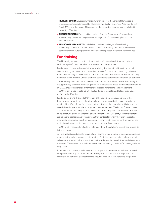- **PIONEER REFORM:** Dr Jacqui Turner, Lecturer of History at the School of Humanities, is uncovering the female pioneers of British politics, in particular Nancy Astor. Astor was the first female MP to sit in the House of Commons and her extensive papers are currently held at the University of Reading.
- **CHANGE CLIMATES:** Professor Giles Harrison, from the Department of Meteorology, is researching how electric charge influences the growth of tiny water droplets in clouds, which creates rain.
- **REDISCOVER HUMANITY:** Dr Hella Eckardt has been working with fellow Reading archaeologists Dr Mary Lewis and Dr Gundula Müldner, analysing skeletons with innovative scientific techniques, to explore just how diverse the population of Roman Britain really was.

## **Fundraising**

The University receives philanthropic income from its alumni and other supporters and is very grateful to those who made a donation during the year.

Fundraising is conducted primarily through building direct relationships with potential donors, making submissions to charitable trusts and foundations, conducting in-house telephone campaigns and small direct-mail appeals. All of these activities are carried out by dedicated staff within the University and no commercial participators fundraise on its behalf.

The University's Donor Charter enshrines the standards it adheres to in its fundraising, and is supported by its ethical fundraising policy. Its standards are based on those recommended by CASE, the professional body for higher education fundraising and advancement. The University is also registered with the Fundraising Regulator and follows their Code of Fundraising Practice.

Fundraising is primarily aimed at University of Reading alumni and supporters rather than the general public, and is therefore relatively targeted and often based on existing relationships. Where fundraising is conducted outside of the alumni body, it is typically to noted philanthropists, and the appropriate channels are used. The Donor Charter makes a commitment to ensuring that the University's fundraising treats potential donors fairly and avoids fundraising to vulnerable people. In practice, the University's fundraising staff are trained to deal sensitively with anyone they contact for whom they then suspect it may not be appropriate to ask for a donation. The University also has controls such as age restrictions to avoid contacting those above certain age boundaries.

The University has not identified any instances where it has failed to meet these standards in the past year.

All fundraising is conducted by University of Reading employees and is closely managed and monitored through its management structure. For telephone campaigns, where student callers are employed, calling is monitored by trained supervisors and other fundraising team managers. The student callers also receive extensive training on ethical fundraising and their duty of care.

In 2017/18, the University mailed over 17,600 people with direct mail appeals and received complaints from only half a percent (around 95) about the approach being made. The University did not receive any complaints about its face-to-face fundraising programme.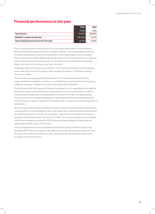# **Financial performance in the year**

|                                         | 2018      | 2017    |
|-----------------------------------------|-----------|---------|
|                                         | £'000     | £'000   |
| <b>Total income</b>                     | 317,175   | 288,894 |
| (Deficit) / surplus for the year        | (20, 456) | 42.210  |
| Total comprehensive income for the year | 16,764    | 54,999  |

The University recorded strong growth in its core tuition and research income streams which contributed to group income for the year of £317.2m. The surplus/deficit positions are heavily influenced by investment transactions, such as land sales, which can lead to large variations year on year. Without these transactions, the University made an underlying surplus very similar to the previous year. This was despite costs and inflation increasing faster than main income streams, such as tuition fees.

Group expenditure for the year was £348.9m. The University remains focused on keeping costs under tight control to maximise value, and also the delivery of efficiency savings wherever possible.

The University has seen significant improvement in the financial performance of its longer-established academic activities. It is committed to continuing this trend of growing academic surpluses, in order to re-invest in the future of the institution.

Financial results from the campus in Malaysia have been short of expectations with deficits recorded in recent years and this trend is expected to continue for some time. As well as incorporating the subsidiary's operating deficit of £8.0m for the year, the group results include provisions for contractual obligations associated with the main building lease and other contracts as well as impairment of the fixed assets. These provisions and impairments total £20.9m.

During the year the University undertook a review of all of its land and property holdings and concluded that its land at Willington Down near Didcot was more appropriately described as an investment property. The site has increased in value and is now expected to produce a significant capital receipt within the next 12 months. The increase in value was not recorded in the financial statements issued in 2017 and has now been restated in these financial statements to reflect a gain of over £41m.

Other comprehensive income included remeasurement gains of £35.8m on the locally managed UREPF pension scheme. These gains arose from actuarial assumptions around life expectancy, inflation and discount rates, changes to the membership profile and an increase in investment returns.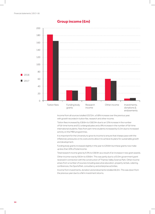## **Group income (£m)**



Income from all sources totalled £317.2m, a 9.8% increase over the previous year, with growth recorded in tuition fee, research and other income.

Tuition fees increased by £18.6m to £182.9m due to an 11% increase in the number of full-time home and EU undergraduates and a 9% increase in the number of full-time international students. Fees from part-time students increased by £1.3m due to increased activity on the MBA programmes.

It is important for the University to grow its income to ensure that it keeps pace with the inflationary pressures on its costs and to allow it to achieve its plans for sustainable growth and development.

Funding body grants increased slightly in the year to £29.8m but these grants now make up less than 10% of total income.

Total research income grew by 9.3% to £38.9m as a result of an increase in new grant awards.

Other income rose by £8.0m to £59.6m. This was partly due to a £5.0m government grant received in connection with the construction of Thames Valley Science Park. Other income arises from a number of sources including executive education, property rentals, catering, conferences, the SportsPark, consultancy and enterprise activities.

Income from investments, donation and endowments totalled £6.0m. This was down from the previous year due to a fall in investment returns.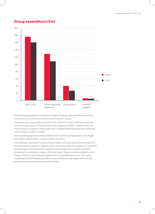# **Group expenditure (£m)**



Overall group expenditure increased for a variety of reasons although efficiency savings continue to be at the forefront of planning and decision making.

Total staff costs rose by 8.8% to £175.0m (2017: £160.9m) of which 3.5% (£5.4m) was due to the annual pay award (1.7%) and incremental progression (1.8%). In addition there was a £1m increase in research-related staff costs. Increased staff costs were also in response to an increase in student numbers.

Other operating expenses totalled £128.5m (2017: £107.5m) and depreciation on tangible fixed assets totalled £39.1m. Interest payable was £6.3m.

The University-only results include a provision against amounts due to the University from its wholly owned subsidiary in Malaysia, which may not be wholly recoverable, an impairment provision against the value of the investment and a provision for a specific guarantee provided to the subsidiary in respect of its main lease. These provisions resulted in a total charge of £27.6m in the University's statement of comprehensive income. The campus is operated by RUMAL Reading Sdn Bhd, whose activities are kept legally and financially distinct from the University in the United Kingdom.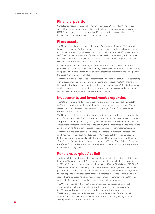## **Financial position**

Consolidated net assets totalled £469.1m at 31 July 2018 (2017: £452.3m). The increase against the previous year can be attributed primarily to the remeasurement gains on the UREPF pension scheme less the deficit and further provisions recorded in respect of RUMAL. Net current assets stood at £82.1m (2017: £46.1m).

## **Fixed assets**

The University continues to invest in the future. We are committing over £200 million to improving our campus facilities, so we can continue to provide a high-quality environment for our teaching, learning and research and to support both current and future students and staff. This long-term programme of infrastructure developments is designed to enhance the University's academic activity and ensure that it continues to be regarded as a worldclass university both in the UK and internationally.

A major refurbishment of the Library and a new Health and Life Sciences complex are progressing well. The first phases of the Library have been finalised, and we are also nearing completion of our third and fourth major lecture theatre refurbishments and an upgrade of the Student Union's 3Sixty nightclub.

The University offers a wide range of accommodation options for its students in partnership with its accommodation provider University Partnerships Programme (UPP). Demand for high quality, affordable accommodation located on or near our main Whiteknights campus continues to grow and the University is developing a long-term accommodation strategy to help us meet these requirements as effectively as possible.

## **Investments and investment properties**

The total investments held by the University and its trusts were valued at £87.6m (2017: £82.2m). The returns generated from these investments have helped to fund £2.2m of research activity in the year as well as supporting a range of prizes for achievements, scholarships and bursaries.

The University publishes its investment policy on its website as well as publishing annually a list of investments held. The policy is set and monitored by the Investments Committee. The portfolio is managed on a day-to-day basis by a professional investment manager. As well as targeting income returns and capital growth, the manager is required to consider the social, environmental and ethical issues of the companies in which investments are held.

The University and its trusts hold some properties for their investment potential. Their combined market value at 31 July 2018 was £140.6m (2017: £99.3m). The main reason for the increase year on year related to the opening of the Gateway Building at Thames Valley Science Park. All of the capital costs in respect of Thames Valley Science Park were transferred from tangible fixed assets to investment properties at cost and then increased to fair value at 31 July 2018.

# **Pensions surplus / deficit**

The financial statements report the overall surplus or deficit of the University of Reading Employees' Pension Fund (UREPF) on the balance sheet, in line with the requirements of FRS 102. The scheme showed an overall surplus of £38.6m at 31 July 2018 (2017: £1.5m). The positive movement was mainly driven by the remeasurement gains reported in the year. The University has made additional cash payments to the scheme in recent years and this has helped to rectify the historic deficit. It is expected that these contributions will be reduced in the next year. As well as making regular employer contributions, the University pays £600,000 per annum towards the scheme's administration costs.

The University also contributes to the Universities Superannuation Scheme (USS), a multi-employer scheme. The University and the other employers who contribute to USS make additional contributions to reduce the overall deficit on the scheme. The University has recognised a provision of £32.8m for its share of the additional contributions (2017: £32.5m) in accordance with the deficit funding plan agreement accompanying the 2014 actuarial valuation.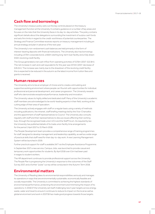# **Cash flow and borrowings**

The University's treasury policy sets out the key controls placed on the treasury management function at the University. It contains guidance on a number of key areas and focuses on the risks that the University faces in its day-to-day activities. The policy contains significant details about the delegations surrounding the investment of surplus cash funds and sets firm limits in regard to the credit-worthiness of potential counterparties. The Strategy and Finance Committee receives reports on treasury management including an annual strategy and plan in advance of the next year.

The University's non-endowment cash balances are held primarily in the form of interest-bearing deposits with financial institutions. The University also has borrowings including a £70m corporate bond, a £60m sterling long-term loan facility and a fully drawn £50m revolving credit facility.

The Group generated a net cash inflow from operating activities of £17.6m (2017: £22.8m). The net increase in cash and cash equivalents for the year was £37.4m (2017: decrease of £26.0m). The increase was mainly due to the drawdown of the revolving credit facility; this is expected to be reduced in the autumn as the latest income from tuition fees and grants is received.

## **Human resources**

The University aims to be an employer of choice and to create a stimulating and supportive working environment where people can flourish with opportunities for individual, professional and personal development, and career progression. The University rewards staff who demonstrate exceptional performance, leadership and innovation.

The University values its highly skilled and dedicated staff. Many of the University's academic staff members are acknowledged to be world-leading experts in their field, working at the cutting edge of their area of specialism.

The University actively engages with staff on a regular basis using a variety of methods including publications, the intranet, staff briefing meetings led by the Vice-Chancellor, and the appointment of staff representatives to Council. The University also consults regularly with staff and their representatives to discuss issues affecting their working lives, through the recognised trade union UCU and the Staff Forum. As required by law the University has published details of its trade union facility time arrangements for the period 1 April 2017 to 31 March 2018.

The People Development team provides a comprehensive range of training programmes for staff, designed to develop management and leadership capability, as well as a wide range of practical skills that staff need for their day-to-day work. A new Learning Management System will be launched in 2019.

Further practical support for staff is available 24/7 via the Employee Assistance Programme.

In September 2017 a new service, Campus Jobs, was launched to provide casual and temporary work opportunities for students. By April 2018 over £1m had been paid in wages to student workers.

The HR department continues to provide professional support across the University. The People Plan is progressing the University's response to the outcomes of the Staff Survey 2017, and a further "pulse" survey will be conducted in the Autumn Term 2018.

## **Environmental matters**

The University of Reading takes its environmental responsibilities seriously and manages its operations in ways that are environmentally sustainable, economically feasible and socially responsible. The University is committed to achieving the highest standards of environmental performance, protecting the environment and minimising the impact of its operations. In 2016/17 the University set itself challenging new 5 year targets across energy, waste, water and travel to ensure it continues to reduce its impact on the local as well as global environment and work in 2017/18 has made good progress towards those targets.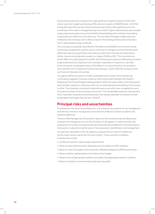During the last year the University has made significant progress towards it's 2021 45% carbon reduction target by achieving a 39% reduction based on 2008/09 levels. In 2017/18, energy bills were £9m less than they would have been without the significant work and investment in the carbon management plan since 2010. Projects delivered last year included a large solar photovoltaic array onto the Edith Morley Building which will allow the building to generate up to 60% of its own electricity. This has been the largest single array to be installed by the University and it is likely to result in the building achieving the University's first 'A' rated display energy certificate.

The University successfully recertified for ISO14001 and ISO50001 for its environmental and energy management systems, and so continues to manage its environmental impact effectively. New recycling facilities have been provided both internally and externally to further improve recycling rates towards our target of 60% by 2021. The University now diverts 99% of its waste away from landfill, with 50% being recycled and 49% being recovered to generate electricity. Significant work has been undertaken to improve re-use rates at the University, including promotion of the Warp-It re-use portal which has resulted in over £50,000 worth of equipment and furniture being re-used in 2017/18, resulting in both purchase and disposal cost savings.

To support staff and students to make sustainable travel choices, the University has continued its upgrade of campus routes by improving the path between the Hopkins Building and the Friends Bridge enabling people to share the space safely. Cycle training and skills has been a big focus of the year with over a hundred people participating in the courses on offer. The University conducted its biennial travel survey which was completed by over a thousand members of the University community. This has identified areas for improvement which have been reviewed and prioritised with work being undertaken to achieve the 83% sustainable travel target that was set in 2016/17.

## **Principal risks and uncertainties**

As explained in the Governance Statement, the University has systems for risk management and internal controls to manage and control the risk of failure to achieve academic and business objectives.

There is a Risk Management Group which reports to the University Executive Board and oversees risk management across the University. A risk register is in place with key risks assigned to risk owners and appropriate reporting channels established. A risk prioritisation framework is in place forming the basis of risk assessment, identification and management.

For each item identified on the risk register, an assessment is made of its likelihood and its impact and an overall net risk score is given. Those currently considered to be key risks include:

- **•** Insufficient funds for capital project requirements;
- **•** Failure to have sufficient and/or adequate accommodation to offer students;
- **•** Failure to meet the targets of the University of Reading Malaysia (UoRM) business plan;
- **•** Failure to deliver capital projects to timeline and to budget;
- **•** Failure to recruit appropriate numbers and quality of postgraduate research students;
- **•** Failure to maintain or enhance teaching & learning quality.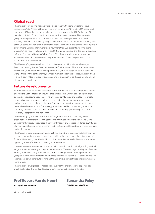## **Global reach**

The University of Reading has an enviable global reach with both physical and virtual presences in Asia, Africa and Europe. More than a third of the University's UK-based staff and almost 30% of the student population come from outside the UK. By the end of this decade 1 in 5 of all of the University's students will be based overseas. The University's geographical spread allows it to take advantage of a wider range of opportunities for teaching and for research. During the past year international student numbers have grown at the UK campuses as well as overseas in what has been a very challenging and competitive environment. Still in its infancy, there are now more than 600 students studying at the University's campus in Malaysia and almost 500 new students starting this year at our sites in China. The Henley Business School South Africa has grown its reputation as a leading African as well as UK business school as per its mission to "build the people, who build the businesses that build Africa".

The University's geographical reach does not come without its risks and challenges. Paramount among these is Brexit. Whatever the final outcome of Brexit, the University will remain firmly embedded within a European context, and while aspects of its relationship with partners on the continent may be made more difficult by the consequences of Brexit, it is firmly committed to those relationships and to ensuring the continued mobility of staff, students and knowledge.

## **Future developments**

All universities face challenges presented by the volume and pace of change in the sector and with the justified focus on ensuring that investment in universities – and a university education – represents good value. The University's 2026 vision and strategy will enable us to navigate our way successfully in these changing times. Our core values remain unchanged, as does our belief in the benefits of open and positive engagement – locally, nationally and internationally. The strategy is firmly embedded into planning across the University, fostering a greater sense of ambition and having a positive impact on the University's adaptability and performance.

The University's global reach remains a defining characteristic of its identity, with a broad network of partners, teaching bases and campuses across the world. The Global Engagement strategy encourages the outward mobility of UK-based students. By 2026, it is planned that at least one third of the University's students will spend some time overseas as part of their degree.

The University has a strong asset base and this, along with its plans to maximise incoming resources and actively manage its cost base, will continue to ensure it has a firm financial footing. It is investing over £200 million into improving its campus facilities, which includes upgrading existing facilities and creating brand new ones.

Universities are uniquely placed to contribute to innovation and industrial growth given their long-term view of planning and regional commitment. The opening of the flagship Gateway Building at Thames Valley Science Park in March 2018 represents the first phase of a 20 year plan to host innovative technology-based companies in a first-class environment. The income derived will contribute to funding the University's core activities and its investment in the future.

The University is well placed to respond positively to the challenges and opportunities which lie ahead and its staff and students can continue to be proud of Reading.

# **Prof Robert Van de Noort Samantha Foley**

**Acting Vice-Chancellor Chief Financial Officer**

28 November 2018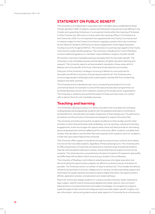# **STATEMENT ON PUBLIC BENEFIT**

The University is an independent corporation with charitable status established by Royal Charter granted in 1926. Its objects, powers and framework of governance are defined in the Charter and supporting Ordinances. It is an exempt charity within the meaning of Schedule 3 of the Charities Act 2011 and is a charity within the meaning of Para 1 of Schedule 6 to the Finance Act 2010. It is not required to be registered with the Charity Commission but is however subject to the Charity Commission's regulatory powers which are monitored by the Office for Students (OfS) since its recent replacement of the Higher Education Funding Council for England (HEFCE). The University's Council has due regard to the Charity Commission's public benefit guidance. The University's Handbook for Council Members contains additional guidance on members' responsibilities in respect of public benefit.

All charities must have charitable purposes and apply them for the public benefit. The University's core charitable purposes are the delivery of higher education teaching and research. The University seeks to achieve excellent standards in these areas which it believes are to the benefit of the local, national and international communities.

A key part of the University's strategy in ensuring it delivers its core purposes for the public benefit lies in its policy of equal opportunities for all. The University aims to encourage people of all backgrounds to participate in and benefit from its teaching, research and other activities.

The University and its subsidiaries also carry out teaching and research of a more commercial nature, for example in some of the executive education programmes run by Henley Business School, and in research carried out for private sector organisations. The University is careful to ensure that the extent of these activities does not conflict with or detract from its core charitable purposes.

## **Teaching and learning**

The University's admissions policy is to attract and admit the most able and motivated undergraduate and postgraduate students with the greatest potential to contribute to, and benefit from, the education provided, irrespective of their background. The admissions procedures and the provision of bursaries are designed to support this policy fully.

The University promotes among all its students excellence in their studies and the other activities in which they participate while at Reading, such as sporting, cultural and voluntary engagements. It also encourages the opportunities these activities provide for stimulating personal development and the wellbeing of the community. When students complete their studies, they are able to use the skills they have acquired, both academic and non-academic, in their lives and careers beyond the University.

The University offers support to students through its access bursary scheme which allows it to recruit the most able students, regardless of financial background. The University aims to offer programmes of study that are attractive to a diverse range of potential students, have fair and transparent admission policies, and provide financial support to low income students. The University has a comprehensive Student Complaints Procedure to deal swiftly and effectively with problems which arise during a student's time at Reading.

The University of Reading is committed to widening access into higher education and demonstrating the opportunities a degree can afford to as diverse a body of students as possible. The University works in a number of ways to achieve this. This includes the delivery of events and activities in schools, colleges and on campus, as well as providing support and information for pupils, teachers and advisors about Higher Education; the opportunities it affords, application process, and education and career pathways.

Events for school and college students on-campus include University 'taster' experience days; subject-specific events showcasing degrees and career options, and curriculumlinked activity to increase attainment and subject knowledge. Our programme supports pupils throughout their school and college journey to provide subject specific insights, and also information, advice and guidance about wider aspects of University life at critical points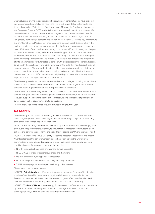where students are making educational choices. Primary school students have explored our museums and undertaken campus trails. Pre-GCSE students have attended broad theme days such as 'Being Human', getting a taste of Philosophy, Psychology, Languages and Computer Science. GCSE students have visited campus for sessions on student life, career choices and subject tasters. A whole range of subject tasters have been held for students in Years 12 and 13, including to name but a few; Art, Business, English, Modern Languages, Psychology, Geography and Environmental Sciences, Archaeology, Architecture and an Alternatives to Medicine Day showcasing the range of possibilities available in the healthcare sciences. In addition, our intensive Reading Scholars programme has supported over 250 students from disadvantaged backgrounds in Years 10 and 12 throughout the year with on-campus events, study skills techniques and support from our current students as mentors, and our academic researchers are supporting students from disadvantaged backgrounds in partnership with The Brilliant Club. We have also introduced a programme of attainment raising activity targeted at schools with low progression to Higher Education to work with these schools in providing students with the skills they need to reach their full academic potential. We also work intensively with schools and colleges to enable them to access our activities in a sustained way – providing multiple opportunities for students to interact over their school lifetime and continually building on their understanding of and aspirations to access Higher Education opportunities.

The University has also worked off campus in schools and colleges, providing subject-based sessions, careers and HE information and student ambassadors to give information and guidance about Higher Education and the opportunities it can lead to.

The Students in Schools programme enables University student volunteers to work in local schools alongside teachers, providing general classroom assistance, one-to-one support, language support and enhancing subject knowledge, raising aspirations of pupils and an awareness of higher education as a future possibility.

The University also runs a series of public lectures throughout the year.

# **Research**

The University aims to deliver outstanding research, a significant proportion of which is specifically designed to have a meaningful impact on knowledge, people or the economy, or to enhance or change society for the better.

Moreover, the University is committed to supporting its researchers to actively engage with both public and professional audiences, to ensure that our research contributes to global debates and benefits the economic and social life of Reading, the UK, and the wider world.

In June 2018 the second annual University of Reading Research Engagement and Impact Awards celebrated the achievements of researchers from across the University in communicating their work and engaging with wider audiences. Seventeen awards were shortlisted across five categories for work that aims to:

- **•** INFORM the public about research and make it more accessible
- **•** INFLUENCE policy or professional audiences and their work
- **•** INSPIRE children and young people with research
- **•** INVOLVE the public directly in research projects and partnerships
- **•** EMBARK on engagement and impact work early in their careers.

The winners in each category were:

INFORM – **Patrick Lewis**, from Pharmacy, for running the James Parkinson Bicentennial; a series of events and lectures bringing together clinicians and people affected by Parkinson's disease to tell the story of the disease 200 years after it was first identified, what we understand about it today, and where the latest research is heading.

INFLUENCE – **Paul Williams**, in Meteorology, for his research to forecast aviation turbulence up to 18 hours ahead, resulting in smoother and safer flights for around a billion air passenger journeys, while lowering fuel consumption and emissions.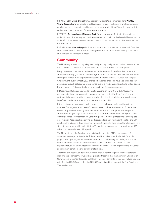INSPIRE – **Sally Lloyd-Evans** from Geography/Global Development and the **Whitley Young Researchers**, for a social mobility research project involving the whole community which is already encouraging children as young as seven to think differently about the future and ensures that the voices of young people are heard.

INVOLVE – **Ed Hawkins** and **Stephen Burt**, from Meteorology, for their citizen science project to turn 19th century hand-written weather records into a freely available new source of data for climate scientists – volunteers have now rescued almost 3 million observations from obscurity.

EMBARK – **Sakthivel Vaiyapuri** in Pharmacy who took his snake venom research from the lab to classrooms in Tamil Nadu, educating children about how to avoid deadly snake bites and what to do if someone is bitten.

## **Community**

The University is proud to play a key role locally and regionally and works hard to ensure that our economic, cultural and education benefits are shared beyond our campuses.

Every day we are open to the local community, through our SportsPark, four museums and award-winning grounds. Our Whiteknights campus, a 130-hectare parkland, was voted among the top ten most popular green spaces in the UK in the 2017 Green Flag People's Choice Award, out of almost 1,800 entries. Thousands of people have also attended our public events, such as lectures, music concerts and exhibitions and over half a million people from as many as 190 countries have signed up to our free online courses.

In December 2017, we announced an exciting partnership with the British Museum to develop a significant new collection storage and research facility. It is a first of its kind partnership between a national museum and a UK university to deliver study and research benefits to students, academics and members of the public.

In the past year we have continued to support the local economy by working with key partners. Building on the success of previous years, our Reading Internship Scheme has successfully matched undergraduate students with local start-ups, small enterprises and charities to give organisations access to skills and provide students with professional work experience. In December 2017, the first group of medical professionals to complete our Physician Associate Programme graduated and are now working in hospitals and GP practices, including the Royal Berkshire Hospital. Support for local education also goes from strength to strength, with our Institute of Education working in partnership with over 300 schools in the south-east of England.

The University and the Reading University Students' Union (RUSU) ran a variety of community engagement projects. This included the University's Students in Schools project, which placed just under 400 students in 45 local primary, secondary and special educational needs schools, an increase on the previous year. The Students' Union supported students to volunteer over 4,600 hours to over 12 local organisations, including a soup kitchen, care home and a number of schools.

The University has valued its continued relationship with key regional business partners, including the Thames Valley Local Enterprise Partnership, the Thames Valley Chamber of Commerce and the Confederation of British Industry. Highlights of the year include working with Reading UK CIC on the Reading UK 2050 project and the launch of the first Reading on Thames Festival.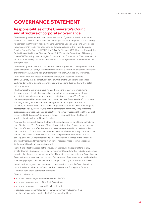# **GOVERNANCE STATEMENT**

# **Responsibilities of the University's Council and structure of corporate governance**

The University is committed to the highest standards of governance and continues to review its processes and framework to refine its governance arrangements. In developing its approach the University has drawn on the Combined Code on Corporate Governance. In addition the University has referred to guidelines published by the Higher Education Funding Council for England (HEFCE), the Office for Students (OfS), Research England, the British Universities Finance Directors Group (BUFDG) and the Committee of University Chairs (CUC) including the CUC Higher Education Code of Governance. This statement sets out how the University has applied the relevant corporate governance recommendations during the year.

The University has reviewed and continues to review its governance arrangements and is satisfied that the University has fully complied with OfS's and others' guidelines throughout the financial year, including being fully compliant with the CUC Code of Governance.

The Charter and Ordinances determine the primary organisational structure of the University, the key constituent parts of which are the Council and the Senate. Each has defined and discrete responsibilities and functions described in further detail in this statement.

The Council is the University's governing body, meeting at least four times during the academic year. It sets the University's strategic direction, ensures compliance with statutory requirements and approves constitutional changes. The Council is ultimately responsible for managing the University's estate, finance and staff, promoting teaching, learning and research, and making provision for the general welfare of students, with much of the detailed work falling to sub-committees. Here broad majority representation by lay members, drawn from commercial, community and professional organisations, provides a valuable perspective. The primary responsibilities of the Council are set out in Ordinance A2, Statement of Primary Responsibilities of the Council, which can be viewed on the University website.

Among other business this year, the Council has conducted a review of its own efficiency and effectiveness. The President of Council sought views from Council members as to Council's efficiency and effectiveness, and these were presented to a meeting of the Council in March. For the most part, members were satisfied with the way in which Council carried out its business. However, some areas of improvement were identified. As a consequence, the Council established a small working group, chaired by the President, and with three lay and three internal members. That group made recommendations to the Council in July, which were approved.

In short, the effectiveness and efficiency review has resulted in approval for a slightly smaller Council, with support for reviewing movement towards further reduction in size, but ensuring that there is proper representation. There will be changes as to how Council works from next session to ensure that matters of strategy and of governance are best handled in such a large group. Council will review its new ways of working at the end of next session.

In addition, it was agreed that the current committee structure of the Council continue, but with a clearer delineation of responsibilities between the Strategy and Finance Committee and the Investments Committee.

The Council has also:

- **•** approved the initial registration submission to the OfS;
- **•** approved the annual report of the Audit Committee;
- **•** approved the annual Learning and Teaching Report;
- **•** approved the approach taken by the Remuneration Committee in setting senior staff pay and in adopting the CUC Remuneration Code;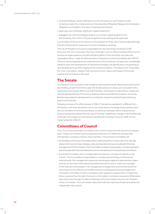- **•** received briefings, and provided advice to the University, on such matters as the University's plans for a medical school, the University of Reading Malaysia, the University's obligations and targets in the area of diversity and inclusion;
- **•** approved, and monitored, significant capital investment;
- **•** engaged in an informal strategic session on a 10 year capital programme for the University, from which a 10 year programme was subsequently approved.

Lay members of the Council receive no remuneration for their role in these bodies although they are reimbursed for expenses incurred in attending meetings.

The role of President of Council is separated from the role of the University's Chief Executive, the Vice-Chancellor. The Vice-Chancellor is an ex-officio member of the Council and the principal academic and administrative officer of the University. He is also the 'designated officer' under the Memorandum of Assurance and Accountability with HEFCE/ OfS and may be regarded as the chief executive of the University. He exercises considerable influence upon the development of institutional strategy, the identification and planning of new developments and the shaping of the institutional ethos. The Deputy Vice-Chancellor, Pro-Vice-Chancellors, Heads of Service and Function, Deans and Heads of School all support and contribute to this work.

## **The Senate**

The Senate is the University's main academic administrative body. Reporting to the Council and meeting at least four times a year, the Senate advises on areas such as student entry, assessment and awards. With around 90 members, the Senate includes Deans, Heads and elected representatives of Schools, as well as professional staff and students. University Boards responsible for developments in enterprise, research and teaching and learning report to the Senate.

Following a review of its effectiveness in 2016–17, Senate has operated in a different form this session, with time devoted to one or two major items of strategy, led by senators who are not members of the Executive Board, as well as to necessary items of governance. Senators are positive about this new way of working. A significant change in the membership of Senate, encouraging a more diverse membership including more junior staff, is to be implemented for 2018–19.

## **Committees of Council**

The Council has six principal committees each of which reports to the Council on a regular basis. These committees have formally prescribed terms of reference and specified membership, including a majority of lay members. The principal committees are:

- the Strategy and Finance Committee which meets at least four times a year and, inter alia, advises the Council on key strategic, policy and operational issues including the financial management of the University. This Committee considers financial plans, monitoring reports and proposals with financial implications recommended by the University Executive Board.
- **•** the Audit Committee, which is independent and advisory, and reports directly to the Council. This Committee is responsible for considering the findings of internal and external audit, the management responses and progress against implementation plans and has an overview of the internal and external audit functions. It also has oversight of the internal control system, risk management arrangements and the framework for ensuring economy, efficiency and effectiveness including governance arrangements. The Audit Committee monitors compliance with regulatory requirements. It meets four times a year and has the right of access to information it considers necessary. While senior executives have the right to attend meetings of the Committee, they are not members of the Committee. The Committee meets with both the internal and external auditors for independent discussions.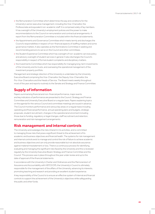- **•** the Remuneration Committee which determines the pay and conditions for the University's senior executive management, including the Vice-Chancellor, the Professoriate and equivalent non-academic staff. It is comprised solely of lay members. It has oversight of the University's employment policies and the power to make recommendations to the Council on remuneration and contractual arrangements. A report from the Remuneration Committee is included within the financial statements.
- **•** the Appointments and Governance Committee which meets termly and discharges the Council's responsibilities in respect of non-financial aspects of staffing matters and some governance matters. It also operates as the Nominations Committee in seeking and recommending persons to serve on the Council and other committees.
- **•** the Student Experience Committee which has oversight of non-academic services policy and advisory oversight of student services in general. It also discharges the Council's responsibility in respect of formal student complaints and disciplinary matters.
- **•** the Investments Committee which has responsibility for managing long-term investments of the University and its trusts, and overseeing the operational management of the investment property portfolio.

Management and strategic direction of the University is undertaken by the University Executive Board comprising the Vice-Chancellor, the Deputy Vice-Chancellor, the Pro-Vice-Chancellors and the Heads of Service. The Board meets weekly throughout most of the year and reports routinely to the Senate and Strategy and Finance Committee.

# **Supply of information**

Papers summarising financial and non-financial performance, major events and key indicators of performance are presented to the Council, Strategy and Finance Committee and University Executive Board on a regular basis. Papers explaining topics on the agenda for the various Council and committee meetings are issued in advance. The Council monitors performance and various key areas on a regular basis including operating and financial performance, annual operating plans and budgets, strategic proposals, student recruitment, changes in the operational environment including those due to funding, regulatory or legal changes, staff recruitment and retention, remuneration and risk management arrangements.

## **Risk management and internal controls**

The University acknowledges the risks inherent in its activities, and is committed to managing those risks that pose a significant threat to the achievement of its academic and business objectives and financial health. The systems for risk management and internal controls exist to manage and control the risk of failure to achieve academic and business objectives and can only provide reasonable but not absolute assurance against material misstatement or loss. There is a continuous process for identifying, evaluating and managing the significant risks faced by the University and this is reviewed regularly by the University Executive Board, Strategy and Finance Committee and the Council. This process was in place throughout the year under review and up to the date of approval of the financial statements.

In accordance with the University's Charter and Ordinances and the Memorandum of Assurance and Accountability with HEFCE/OfS, the University's Council is ultimately responsible for the management of the affairs of the University, advancing its interests, promoting teaching and research and providing an excellent student experience.

A key responsibility of the Council is to ensure an effective system of internal and financial controls to support the achievement of the University's objectives while safeguarding the public and other funds.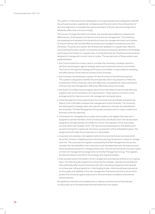The system of internal control is developed on an ongoing basis and is designed to identify the principal business, operational, compliance and financial risks to the achievement of aims and objectives, to evaluate the nature and extent of those risks and manage them efficiently, effectively and economically.

The Council, through the Audit Committee, has overall responsibility for reviewing the effectiveness of the systems of internal control and risk management. The University has developed and adopted a formal and structured risk management policy and system to ensure that key risks are identified, prioritised and managed consistently across the University. The policy and system are reviewed and updated on a regular basis. Reports documenting the policy, system, procedures and issues arising are reported to the Strategy and Finance Committee on a regular basis. A comprehensive set of policies and procedures designed to manage and monitor risks is in place. The key elements of these systems are explained below:

- **•** the Council meets four times a year to consider the University's strategic direction, decisions and progress against strategic plans and is advised by various committees. The Council, through the Strategy and Finance Committee, is responsible for reviewing the effectiveness of the internal controls of the University.
- **•** the University has developed a system of internal control in line with best practice. This system is designed to identify the principal risks which may prevent or inhibit the achievement of the University's aims and objectives, to evaluate the nature and extent of those risks and manage them efficiently, effectively and economically.
- **•** the Audit Committee receives regular reports from the Head of Internal Audit Services, together with recommendations for improvement. These reports comment on the arrangements for internal control, risk management and governance.
- **•** a Risk Management Group reporting to the University Executive Board and led by the Deputy Vice-Chancellor oversees risk management at the University. The University has developed its strategic plans with specific reference to the key risks identified for the University. The Risk Management Group also oversees work on major incident and business continuity planning.
- **•** a framework for managing risk is in place and includes a risk register. Each key risk is assigned to named members of the University Executive Board. Each risk has also been assigned to the appropriate committee to monitor the operation of the associated controls within their broader remit. The risks are prioritised based on the likelihood of an event arising from a particular risk and an assessment of the anticipated impact. The assigned priority helps focus resources on critical areas.
- **•** corporate and subsidiary risk registers held at school and central services level which document controls, mitigating actions and early warning mechanisms in place to manage each risk. The corporate risk register is assessed by the Risk Management Group who consider the risks identified, their interactions and interdependencies, the exposure and the proposed processes for managing these risks. Schools and central services also report on their risk management arrangements to the Risk Management Group. The registers are directly linked to and inform the strategic and operational plans.
- **•** internal audit reviews the system of risk management and internal controls on an ongoing basis. The internal audit programme is driven by the strategic, operational and financial risks potentially affecting the University with each risk being reviewed by internal audit on a three year rolling programme. In discharging its plan, internal audit gives assurance on the quality and reliability of the risk management framework and the controls which protect the University against exposure to risk and reviews compliance with policies and procedures.

No significant internal control weaknesses or failures arose during the financial year or have arisen up to the date these financial statements are signed.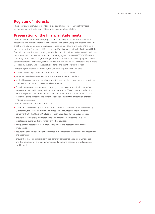# **Register of interests**

The Secretary to the Council maintains a register of interests for Council members, lay members of University committees and senior members of staff.

## **Preparation of the financial statements**

The Council is responsible for keeping proper accounting records which disclose with reasonable accuracy at any time the financial position of the Group and enable it to ensure that the financial statements are prepared in accordance with the University's Charter of Incorporation, the Statement of Recommended Practice: Accounting for Further and Higher Education and applicable accounting standards. In addition, within the terms and conditions of a Memorandum of Assurance and Accountability agreed between HEFCE/OfS and the University, the Council, through its designated office holder, is required to prepare financial statements for each financial year which give a true and fair view of the state of affairs of the Group and University and of the surplus or deficit and cash flows for that year.

In preparing the financial statements, the Council is required to ensure that:

- **•** suitable accounting policies are selected and applied consistently;
- **•** judgements and estimates are made that are reasonable and prudent;
- **•** applicable accounting standards have been followed, subject to any material departures disclosed and explained in the financial statements;
- **•** financial statements are prepared on a going concern basis unless it is inappropriate to presume that the University will continue in operation. The Council is satisfied that it has adequate resources to continue in operation for the foreseeable future; for this reason the going concern basis continues to be adopted in the preparation of these financial statements.

The Council has taken reasonable steps to:

- **•** ensure that the University's funds have been applied in accordance with the University's Ordinances, the Memorandum of Assurance and Accountability and the funding agreement with the National College for Teaching and Leadership as appropriate;
- **•** ensure that there are appropriate financial and management controls in place to safeguard public funds and funds from other sources;
- **•** safeguard the assets of the University and prevent and detect fraud and other irregularities;
- **•** secure the economical, efficient and effective management of the University's resources and expenditure;
- **•** ensure that material risks are identified, carefully considered and properly managed and that appropriate risk management procedures and processes are in place across the University.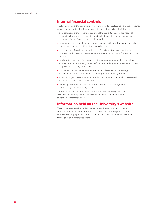## **Internal financial controls**

The key elements of the University's system of internal financial controls and the associated process for monitoring the effectiveness of these controls include the following:

- **•** clear definitions of the responsibilities of, and the authority delegated to, heads of academic schools and central services and such other staff to whom such authority and responsibility is from time to time delegated;
- **•** a comprehensive corporate planning process supported by key strategic and financial resource plans and a robust investment appraisal process;
- **•** regular reviews of academic, operational and financial performance undertaken on an ongoing basis using operational performance information and financial monitoring reports;
- **•** clearly defined and formalised requirements for approval and control of expenditure, with capital expenditure being subject to formal detailed appraisal and review according to approval levels set by the Council;
- **•** comprehensive financial regulations reviewed and developed by the Strategy and Finance Committee with amendments subject to approval by the Council;
- **•** an annual programme of work undertaken by the internal audit team which is reviewed and approved by the Audit Committee;
- **•** reviews by the Audit Committee of the effectiveness of risk management, control and governance arrangements.

The Director of Internal Audit Services is responsible for providing reasonable assurance on the adequacy and effectiveness of risk management, control and governance arrangements.

## **Information held on the University's website**

The Council is responsible for the maintenance and integrity of the corporate and financial information included on the University's website. Legislation in the UK governing the preparation and dissemination of financial statements may differ from legislation in other jurisdictions.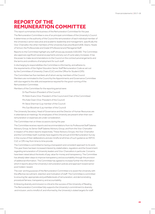# **REPORT OF THE REMUNERATION COMMITTEE**

This report summarises the business of the Remuneration Committee for the year.

The Remuneration Committee is one of six principal committees of the University's Council. It determines on the authority of the Council the remuneration of each individual member of the University's senior executive and academic leadership and management, specifically the Vice-Chancellor, the other members of the University Executive Board (UEB), Deans, Heads of School, the Professoriate and Grade 9 Professional and Managerial Staff.

Reports to the Committee highlight any staff whose pay exceeds £100,000. The Committee also approves significant severance payments and any out of cycle salary increases. It has the power to make recommendations to the Council on the contractual arrangements and the terms and conditions of employment for such staff.

In discharging its responsibilities the Committee is informed by, and adheres to, the requirements of the Higher Education Senior Staff Remuneration Code as set out by the Committee of University Chairs (CUC) and the Office for Student (OfS).

The Committee has five members all of whom are lay members of the Council. Members are nominated to the Council by the Appointments and Governance Committee with due regard to the skills and experience required for the good-running of the Remuneration Committee.

Members of the Committee for the reporting period were:

Dr Paul Preston (President of the Council)

Mr Robin Evans (Vice-President of the Council and Chair of the Committee)

Mrs Kate Owen (Vice-President of the Council)

Mr Steve Sherman (Lay member of the Council)

Mrs Sue Woodman (Lay member of the Council)

The University Secretary, Head of Governance and the Director of Human Resources are in attendance at meetings. No employees of the University are present when their own remuneration or expenses are under consideration.

The Committee met on three occasions during the year.

The Committee receives reports and recommendations from its Professorial Staff Salaries Advisory Group, its Senior Staff Salaries Advisory Group, and from the Vice-Chancellor in respect of his direct reports respectively. These Advisory Groups, the Vice-Chancellor and the Committee itself, routinely have regard to the annual UCEA Remuneration Survey in the course of their deliberations and are mindful at all times of such guidance as HEFCE, CUC or OfS may from time to time provide.

The Committee is committed to having a transparent and consistent approach to its work. This year there has been increased interest by stakeholders, regulators and the Government regarding remuneration of University leaders and Vice-Chancellors in particular. Concerns have been raised about the levels of pay, value for money and transparency. The Committee has already taken steps to improve transparency and accountability through the provision of additional information. The Committee has agreed to increase further the information which it reports about the University's remuneration policies and approach toward senior post holders' reward.

The over-arching purpose of the Remuneration Committee is to assist the University with the effective recruitment, retention and motivation of staff. The Committee is committed to ensuring fair, appropriate and justifiable levels of remuneration, and demonstrating procedural fairness, transparency and accountability.

Embracing diversity and inclusion is critical to the success of the University of Reading. The Remuneration Committee fully supports the University's commitment to diversity and inclusion, and is mindful of, and informed by, the University's stated targets for staff.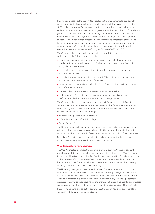In so far as it is possible, the Committee has aligned the arrangements for senior staff pay and reward with those mechanisms available for all staff. The majority of the University's staff are placed on one of 8 grades, on a pay structure based on the national pay spine, and enjoy automatic annual incremental progression until they reach the top of the relevant grade. There are further opportunities to recognise contributions above and beyond normal expectations, ranging from small celebratory vouchers, to lump sum payments and consolidated incremental increases. Senior staff have no expectation of automatic incremental progression, but have analogous arrangements to recognise and reward contribution. All staff receive the nationally-agreed pay award determined annually via the Joint Negotiating Committee for Higher Education Staff (JNCHES).

The Committee has developed a strong evidence-based ethos to its work and has agreed the following guiding principles:

- **•** ensure that salaries, benefits and any proposed adjustments to those represent good value for money and a proper use of public monies, seeking appropriate advice and guidance where required;
- **•** require all proposals for salary adjustment to have been appropriately scrutinised and be evidence-based;
- **•** recognise the value of appropriately rewarding staff for contributions that are above and beyond the normal expectations of their role;
- **•** expect ratios of senior staff pay to all University staff to be contained within reasonable and defensible parameters;
- **•** operate in the most transparent and accountable manner possible;
- **•** seek explanation if it considers there has been significant or persistent under performance, whether or not a salary adjustment is being proposed.

The Committee has access to a range of benchmark information to best inform its decision-making in respect of senior staff remuneration. The Committee also receives benchmarking reports from the Director of Human Resources, with particular attention drawn to comparator information relating to:

- **•** Pre-1992 HEIs by income (£202m–£400m).
- **•** HEIs within the London/South-East Region.
- **•** Russell Group HEIs.

The Committee seeks to contain senior staff salaries in the median to upper quartile range within the relevant comparator groups above, whilst being mindful of varying levels of individual contribution and length of service, and variations in portfolios of responsibilities.

Records of Committee meetings and decisions taken demonstrate adherence to the Committee's agreed practice and the principles noted above.

#### **Vice-Chancellor's remuneration**

The Vice-Chancellor is de facto the University's Chief Executive Officer, and as such has overall responsibility for the effective management of the University. The Vice-Chancellor is the accountable officer responsible for effective governance and the financial stewardship of the University. Working alongside Council members, the Senate and the University Executive Board, the Vice-Chancellor leads the strategic development of the University, ensuring its academic and financial sustainability.

The University has a global presence, and the Vice-Chancellor is required to promote its interests at home and overseas, and is expected to develop strong relationships with Government representatives, the Office for Students, the UUK and other key stakeholders. The Vice-Chancellor role is highly visible, multi-faceted and very challenging. Leading the institution, ensuring its good governance and financial stability, and representing its interests across a complex matrix of settings is time-consuming and demanding of the post-holder.

In assessing personal and collective performance the Committee gives due regard to a series of institutional performance indicators: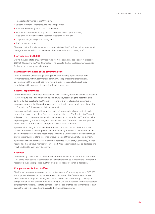- **•** Financial performance of the University.
- **•** Student numbers undergraduate and postgraduate.
- **•** Research Income grant and contract income.
- **•** External accreditation notably the Annual Provider Review, the Teaching Excellence Framework and the Research Excellence Framework.
- **•** League tables (for the previous five years).
- **•** Staff survey outcomes.

The notes to the financial statements provide details of the Vice-Chancellor's remuneration during the year as well as comparisons to the median salary of University staff.

## **Staff paid over £100,000**

During the year, a total of 51 staff received a full-time equivalent basic salary in excess of £100,000 (excluding the Vice-Chancellor). The notes to the financial statements provide further information by salary banding.

#### **Payments to members of the governing body**

The Council is the University's governing body. It has majority representation from lay members drawn from commercial, community and professional organisations. Lay members of the Council receive no remuneration for their role although they are reimbursed for expenses incurred in attending meetings.

#### **External appointments**

The Remuneration Committee accepts that senior staff may from time to time be engaged in work for outside bodies which may be paid or unpaid, recognising the potential value to the individual but also to the University in terms of profile, relationship-building, and exposure to outside thinking and processes. The University's general rules as set out within its Consultancy Policy apply equally to senior staff.

For senior staff, prior approval for outside work, not being undertaken in the individual's private time, must be sought before any commitment is made. The President of Council will agree broadly the range of external commitments appropriate for the Vice-Chancellor, explicitly approving further activity on a case by case basis. The same principle applies for other senior staff, with approval to be granted by the Vice-Chancellor.

Approval will not be granted where there is a clear conflict of interest, there is no clear value to the individual's development or to the University or where the time commitment is deemed inconsistent with the needs of the substantive University post. Senior staff must ensure that they meet all the reasonable requirements of their University employment.

Approved additional earnings, other than that classified as University Consultancy, may be retained by the individual member of senior staff. All such earnings should be disclosed and may be subject to audit from time to time.

#### **Expenses**

The University's rules as set out in its Travel and other Expenses, Benefits, Hospitality and Gifts policy apply equally to senior staff. Senior staff are allowed to reclaim their proper and reasonable business expenses, but they are expected to apply sensible discretion.

## **Compensation for loss of office**

The Committee approves severance payments for any staff whose pay exceeds £100,000 and approves all severance payments in excess of £90,000. The Committee approved one severance arrangement during the year; an amount of £40,000 was paid by way of compensation for loss of office (with a further £3,900 to provide access to financial, legal and outplacement support). The total compensation for loss of office paid to members of staff during the year is disclosed in the notes to the financial statements.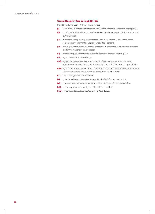### **Committee activities during 2017/18:**

In addition, during 2017/18, the Committee has:

- **(i)** reviewed its own terms of reference and confirmed that these remain appropriate;
- **(ii)** conformed with the Statement of the University's Remuneration Policy as approved by the Council;
- **(iii)** monitored the approval processes that apply in respect of severance and early retirement arrangements and pronounced itself content;
- **(iv)** had regard to the national and local context as it affects the remuneration of senior staff in the higher education sector;
- **(v)** agreed an approach in regard to certain pensions matters, including USS;
- **(vi)** agreed a Staff Retention Policy;
- **(vii)** agreed, on the basis of a report from its Professorial Salaries Advisory Group, adjustments to salary for certain Professorial staff with effect from 1 August 2018;
- **(viii)** agreed, on the basis of a report from its Senior Salaries Advisory Group, adjustments to salary for certain senior staff with effect from 1 August 2018;
- **(ix)** noted changes to the Staff Forum;
- **(x)** noted work being undertaken in regard to the Staff Survey Results 2017;
- **(xi)** discussed an approach to managing the performance of members of UEB;
- **(xii)** reviewed guidance issued by the OfS, UCEA and HEFCE;
- **(xiii)** reviewed and discussed the Gender Pay Gap Report.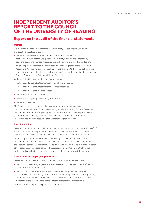# **INDEPENDENT AUDITOR'S REPORT TO THE COUNCIL OF THE UNIVERSITY OF READING**

# **Report on the audit of the financial statements**

## **Opinion**

In our opinion the financial statements of the University of Reading (the 'University') and its subsidiaries (the 'Group'):

- give a true and fair view of the state of the Group's and the University's affairs as at 31 July 2018 and of the Group's and the University's income and expenditure, gains and losses and changes in reserves and cash flows forthe yearthen ended; and
- have been properly prepared in accordance with United Kingdom Generally Accepted Accounting Practice, including Financial Reporting Standard 102 "The Financial Reporting Standard applicable in theUK and Republic of Ireland" and the Statement of Recommended Practice: Accounting for Further and Higher Education.

We have audited the financial statements which comprise:

- the Group and University statements of comprehensive income;
- the Group and University statements of changes in reserves;
- the Group and University balance sheets;
- **•** the Group statement of cash flows;
- **•** the statement of principal accounting policies; and
- **•** the related notes 1 to 35.

The financial reporting framework that has been applied in their preparation is applicable lawandUnited Kingdom Accounting Standards, including Financial Reporting Standard 102 "The Financial Reporting Standard applicable in the UK and Republic of Ireland" (United Kingdom Generally Accepted Accounting Practice) and the Statement of Recommended Practice: Accounting for Further and Higher Education.

#### **Basis for opinion**

We conducted our audit in accordance with International Standards on Auditing (UK) (ISAs(UK)) and applicable law. Our responsibilities under those standards are further described in the auditor's responsibilities for the audit of the financial statements section of our report.

We are independent of the Group and the University in accordance with the ethical requirements that are relevant to our audit of the financial statements in the UK, including the Financial ReportingCouncil's (the 'FRC's') Ethical Standard, andwe have fulfilled our other ethical responsibilities in accordance with these requirements. We believe that the audit evidence we have obtained is sufficient and appropriate to provide a basis for our opinion.

#### **Conclusions relating to going concern**

We are required by ISAs (UK) to report in respect of the following matters where:

- the Council's use of the going concern basis of accounting in preparation of the financial statements is not appropriate; or
- the Council has not disclosed in the financial statements any identified material uncertainties that may cast significant doubt about the Group's and the University's ability to continue to adopt the going concern basis of accounting for a period of at least twelve months from the datewhen the financial statements are authorised forissue.

We have nothing to report in respect of these matters.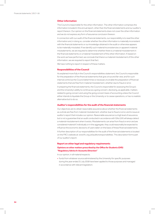#### **Other information**

The Council is responsible for the other information. The other information comprises the information included in the annual report, other than the financial statements and our auditor's report thereon. Our opinion on the financial statements does not cover the other information and we do not express any form of assurance conclusion thereon.

In connection with our audit of the financial statements, our responsibility is to read the other information and, in doing so, consider whether the other information is materially inconsistent with the financial statements or our knowledge obtained in the audit or otherwise appears to be materially misstated. Ifwe identify such material inconsistencies or apparent material misstatements, we are required to determine whether there is a material misstatement in the financial statements or a material misstatement ofthe otherinformation. If, based on the work we have performed, we conclude that there is a material misstatement of this other information, we are required to report that fact.

We have nothing to report in respect of these matters.

#### **Responsibilities of the Council**

As explained more fully in the Council's responsibilities statement, the Council is responsible for the preparation of the financial statements that give a true and fair view, and for such internal control as the Council determines is necessary to enable the preparation of financial statements that are free from material misstatement, whether due to fraud or error.

In preparing the financial statements, the Council is responsible for assessing the Group's and the University's ability to continue as a going concern, disclosing, as applicable, matters related to going concern and using the going concern basis of accounting unless the Council either intends to liquidate the Group or the University or to cease operations, or has no realistic alternative but to do so.

#### **Auditor's responsibilities for the audit of the financial statements**

Our objectives are to obtain reasonable assurance about whether the financial statements as a whole are free from material misstatement, whether due to fraud or error, and to issue an auditor's report that includes our opinion. Reasonable assurance is a high level of assurance, but is not a guarantee that an audit conducted in accordance with ISAs (UK) will always detect a material misstatement when it exists. Misstatements can arise from fraud or error and are considered material if, individually or in the aggregate, they could reasonably be expected to influence the economic decisions of users taken on the basis ofthese financial statements.

A further description of our responsibilities for the audit of the financial statements is located on the FRC'swebsite at:www.frc.org.uk/auditorsresponsibilities. This description forms part of our auditor's report.

## **Report on other legal and regulatory requirements Opinions on other matters prescribed by the Office for Students (OfS) "Regulatory Advice 9: Accounts Direction"**

In our opinion, in all material respects:

• funds from whatever source administered by the University for specific purposes during the year ended 31 July 2018 have been applied to those purposes and managed in accordance with relevant legislation;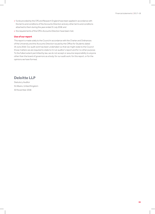- funds provided by the OfS and Research England have been applied in accordance with the terms and conditions of the Accounts Direction and any other terms and conditions attached to them during the year ended 31 July 2018; and
- the requirements of the OfS's Accounts Direction have been met.

## **Use of our report**

This report is made solely to the Council in accordance with the Charter and Ordinances oftheUniversity and the Accounts Direction issued by the Office for Students dated 19 June 2018. Our audit work has been undertaken so that we might state to the Council those matters we are required to state to it in an auditor's report and for no other purpose. To the fullest extent permitted by law, we do not accept or assume responsibility to anyone other than the board of governors as a body, for our audit work, for this report, or for the opinions we have formed.

## **Deloitte LLP**

Statutory Auditor St Albans, United Kingdom 30 November 2018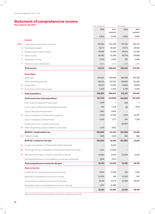# **Statement of comprehensive income**

| Year ended 31 July 2018 |                                                                     | Consolidated |                          | University |                  |
|-------------------------|---------------------------------------------------------------------|--------------|--------------------------|------------|------------------|
|                         |                                                                     | 2018         | 2017<br>restated         | 2018       | 2017<br>restated |
|                         |                                                                     | £'000        | £'000                    | £'000      | £'000            |
|                         | <b>Income</b>                                                       |              |                          |            |                  |
| Note 1                  | Tuition fees and education contracts                                | 182,921      | 164,350                  | 173,370    | 156,557          |
| 2                       | Funding body grants                                                 | 29,771       | 28,964                   | 29,771     | 28,964           |
| 3                       | Research grants and contracts                                       | 38,882       | 35,589                   | 38,641     | 35,369           |
| 4                       | Other income                                                        | 59,583       | 51,590                   | 58,143     | 49,686           |
| 5                       | Investment income                                                   | 2,335        | 4,991                    | 393        | 2,408            |
| 6                       | Donations and endowments                                            | 3,683        | 3,410                    | 2,763      | 2,351            |
|                         | <b>Total income</b>                                                 | 317,175      | 288,894                  | 303,081    | 275,335          |
|                         | <b>Expenditure</b>                                                  |              |                          |            |                  |
| 7                       | Staff costs                                                         | 175,005      | 160,869                  | 168,586    | 155,342          |
|                         | Other operating expenses                                            | 128,511      | 107,547                  | 118,905    | 111,203          |
| 11                      | Depreciation                                                        | 39,073       | 27,095                   | 27,864     | 24,894           |
| 8                       | Interest and other finance costs                                    | 6,320        | 5,422                    | 6,746      | 6,016            |
| 9                       | <b>Total expenditure</b>                                            | 348,909      | 300,933                  | 322,101    | 297,455          |
|                         | Total income less total expenditure                                 | (31,734)     | (12, 039)                | (19,020)   | (22, 120)        |
|                         | Gain / (loss) on disposal of fixed assets                           | 1,508        | $\mathbf{1}$             | (89)       | 1                |
|                         | (Loss) / gain on disposal of investment properties                  | (10)         | 1,318                    | (8)        | (115)            |
|                         | Gain on disposal of investments                                     | 1,862        | 4,822                    |            |                  |
| 14                      | Gain on revaluation of investment properties                        | 4,120        | 47,363                   | 2,991      | 44,287           |
|                         | Gain on revaluation of investments                                  | 2,420        | 1,177                    | 504        | 1,228            |
|                         | Impairment of non-current investments                               |              | $\overline{\phantom{0}}$ | (8,087)    |                  |
| 16                      | Share of operating surplus / (deficit) in associates                | 1,570        | (292)                    |            |                  |
|                         | (Deficit) / surplus before tax                                      | (20, 264)    | 42,350                   | (23,709)   | 23,281           |
| 10                      | Taxation charge                                                     | (192)        | (140)                    | (92)       | (98)             |
|                         | (Deficit) / surplus for the year                                    | (20, 456)    | 42,210                   | (23, 801)  | 23,183           |
| 16                      | Surplus on revaluation of fixed assets held by associate            |              | 8,024                    |            |                  |
| 16                      | Tax charge arising on revaluation of fixed assets held by associate | 1,527        | (1,528)                  |            |                  |
| 33                      | Remeasurement gains in respect of pension schemes                   | 35,802       | 6,565                    | 35,802     | 6,565            |
|                         | Exchange differences on consolidation of overseas subsidiaries      | (109)        | (272)                    |            |                  |
|                         | Total comprehensive income for the year                             | 16,764       | 54,999                   | 12,001     | 29,748           |
|                         | <b>Represented by:</b>                                              |              |                          |            |                  |
|                         | Endowment comprehensive income for the year                         | 6,255        | 11,016                   | 641        | 1,346            |
|                         | Restricted comprehensive income for the year                        | (1, 209)     | 358                      | (1, 325)   | 305              |
|                         | Unrestricted comprehensive income for the year                      | 10,191       | 37,129                   | 12,685     | 28,097           |
|                         | Revaluation reserve comprehensive income for the year               | 1,527        | 6,496                    |            |                  |
|                         |                                                                     | 16,764       | 54,999                   | 12,001     | 29,748           |

All items of income and expenditure arise from continuing activities.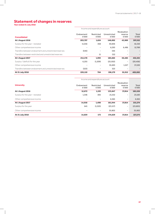# **Statement of changes in reserves**

**Year ended 31 July 2018**

|                                                        | Income and expenditure account |                          |                       |                          |                       |  |
|--------------------------------------------------------|--------------------------------|--------------------------|-----------------------|--------------------------|-----------------------|--|
|                                                        |                                |                          |                       | Revaluation              |                       |  |
| <b>Consolidated</b>                                    | Endowment<br>£'000             | Restricted<br>£'000      | Unrestricted<br>£'000 | reserve<br>£'000         | <b>Total</b><br>£'000 |  |
| <b>At 1 August 2016</b>                                | 203,707                        | 1,624                    | 148,002               | 43,989                   | 397,322               |  |
| Surplus for the year - restated                        | 11,016                         | 358                      | 30,836                | $\overline{\phantom{0}}$ | 42,210                |  |
| Other comprehensive income                             |                                | $\overline{\phantom{a}}$ | 6,293                 | 6.496                    | 12,789                |  |
| Transfers between endowment and unrestricted reserves  | (545)                          |                          | 545                   |                          |                       |  |
| Transfers between restricted and unrestricted reserves |                                | 11                       | (11)                  | $\overline{\phantom{0}}$ |                       |  |
| At 1 August 2017                                       | 214,178                        | 1,993                    | 185,665               | 50,485                   | 452,321               |  |
| Surplus / (deficit) for the year                       | 6,255                          | (1,209)                  | (25, 502)             | $\overline{\phantom{a}}$ | (20, 456)             |  |
| Other comprehensive income                             |                                |                          | 35,693                | 1,527                    | 37,220                |  |
| Transfers between endowment and unrestricted reserves  | (323)                          | ٠                        | 323                   |                          |                       |  |
| At 31 July 2018                                        | 220,110                        | 784                      | 196,179               | 52,012                   | 469,085               |  |

|                                 | Income and expenditure account |                     |                       |                                 |                |
|---------------------------------|--------------------------------|---------------------|-----------------------|---------------------------------|----------------|
| <b>University</b>               | Endowment<br>£'000             | Restricted<br>£'000 | Unrestricted<br>£'000 | Revaluation<br>reserve<br>£'000 | Total<br>£'000 |
| <b>At 1 August 2016</b>         | 12,672                         | 1,193               | 133,847               | 37,814                          | 185,526        |
| Surplus for the year - restated | 1,346                          | 305                 | 21,532                | -                               | 23,183         |
| Other comprehensive income      | $\overline{\phantom{a}}$       | -                   | 6,565                 | Ξ.                              | 6,565          |
| At 1 August 2017                | 14,018                         | 1,498               | 161,944               | 37,814                          | 215,274        |
| Surplus for the year            | 641                            | (1,325)             | (23, 117)             | Ξ.                              | (23, 801)      |
| Other comprehensive income      | $\overline{\phantom{a}}$       | ٠                   | 35,802                | -                               | 35,802         |
| At 31 July 2018                 | 14,659                         | 173                 | 174.629               | 37.814                          | 227,275        |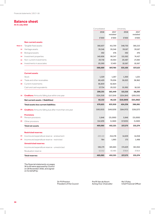# **Balance sheet**

**At 31 July 2018**

|         |                                                                | Consolidated |                  | University |                  |
|---------|----------------------------------------------------------------|--------------|------------------|------------|------------------|
|         |                                                                | 2018         | 2017<br>restated | 2018       | 2017<br>restated |
|         |                                                                | £'000        | £'000            | £'000      | £'000            |
|         | <b>Non-current assets</b>                                      |              |                  |            |                  |
| Note 11 | Tangible fixed assets                                          | 366,837      | 411,759          | 348,730    | 385,213          |
| 12      | Heritage assets                                                | 39,346       | 39,346           | 39,167     | 39,167           |
| 13      | <b>Biological assets</b>                                       | 592          | 476              | 592        | 476              |
| 14      | Investment properties                                          | 140,606      | 99,347           | 115,562    | 74,417           |
| 15      | Non-current investments                                        | 20,718       | 19,364           | 20,487     | 27,283           |
| 16      | Investments in associates                                      | 20,590       | 17,493           | 10,567     | 10,567           |
|         |                                                                | 588,689      | 587,785          | 535,105    | 537,123          |
|         | <b>Current assets</b>                                          |              |                  |            |                  |
|         | <b>Stock</b>                                                   | 1,329        | 1,267            | 1,300      | 1,221            |
| 17      | Trade and other receivables                                    | 80,429       | 79,036           | 56,023     | 38,962           |
| 18      | Current investments                                            | 66,859       | 62,824           |            |                  |
|         | Cash and cash equivalents                                      | 57,734       | 20,322           | 55,992     | 18,110           |
|         |                                                                | 206,351      | 163,449          | 113,315    | 58,293           |
| 19      | <b>Creditors:</b> Amounts falling due within one year          | (124, 219)   | (117, 324)       | (224, 184) | (209, 355)       |
|         | Net current assets / (liabilities)                             | 82,132       | 46,125           | (110, 869) | (151, 062)       |
|         |                                                                |              |                  |            |                  |
|         | <b>Total assets less current liabilities</b>                   | 670,821      | 633,910          | 424,236    | 386,061          |
| 20      | <b>Creditors:</b> Amounts falling due after more than one year | (193, 053)   | (149, 029)       | (184, 972) | (138, 227)       |
|         | <b>Provisions</b>                                              |              |                  |            |                  |
| 21      | Pension provisions                                             | 5,846        | (31,000)         | 5,846      | (31,000)         |
| 22      | Other provisions                                               | (14, 529)    | (1, 560)         | (17, 835)  | (1, 560)         |
|         | <b>Total net assets</b>                                        | 469,085      | 452,321          | 227,275    | 215,274          |
|         | <b>Restricted reserves</b>                                     |              |                  |            |                  |
| 24      | Income and expenditure reserve - endowment                     | 220,110      | 214,178          | 14,659     | 14,018           |
| 25      | Income and expenditure reserve - restricted                    | 784          | 1,993            | 173        | 1,498            |
|         | <b>Unrestricted reserves</b>                                   |              |                  |            |                  |
|         | Income and expenditure reserve - unrestricted                  | 196,179      | 185,665          | 174,629    | 161,944          |
|         | Revaluation reserve                                            | 52,012       | 50,485           | 37,814     | 37,814           |

The financial statements on pages 36 to 69 were approved by Council on 28 November 2018, and signed on its behalf by:

> Dr P R Preston President of the Council

Prof R Van de Noort Acting Vice-Chancellor Ms S Foley Chief Financial Officer

 $\begin{array}{c} \hline \end{array}$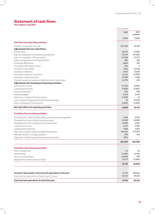# **Statement of cash flows**

**Year ended 31 July 2018**

|                                                                | Consolidated |                  |
|----------------------------------------------------------------|--------------|------------------|
|                                                                | 2018         | 2017<br>restated |
|                                                                | £'000        | £'000            |
| <b>Cash flow from operating activities</b>                     |              |                  |
| (Deficit) / surplus for the year                               | (20, 456)    | 42,210           |
| Adjustments for non-cash items:                                |              |                  |
| Depreciation                                                   | 39,073       | 27,095           |
| Gain on revaluation of investment properties                   | (4, 120)     | (47, 363)        |
| Gain on revaluation of investments                             | (2,420)      | (1, 177)         |
| Gain on revaluation of biological assets                       | (96)         | (10)             |
| Exchange differences                                           | (600)        | 163              |
| (Increase) / decrease in stock                                 | (62)         | $\overline{4}$   |
| Increase in receivables                                        | (401)        | (5, 139)         |
| Increase in creditors                                          | 4,091        | 17,696           |
| Decrease in pension provisions                                 | (1, 572)     | (3,995)          |
| Increase in other provisions                                   | 12,969       | 1,560            |
| Share of operating (surplus) / deficit and tax in associates   | (1,570)      | 292              |
| Adjustments for investing or financing activities:             |              |                  |
| Investment income                                              | (2,335)      | (4,991)          |
| Capital grant income                                           | (7,828)      | (2,822)          |
| New endowments                                                 | (25)         | (49)             |
| Interest payable                                               | 6,320        | 5,422            |
| Gain loss on disposal of fixed assets                          | (1,508)      | (1)              |
| Loss / (gain) on disposal of investment properties             | 10           | (1,318)          |
| Gain on disposal of investments                                | (1,862)      | (4,822)          |
| Net cash inflow from operating activities                      | 17,608       | 22,755           |
| <b>Cash flows from investing activities</b>                    |              |                  |
| Proceeds from sales of fixed assets and investment properties  | 1,588        | 6,234            |
| Proceeds from sale of land in previous years                   | 15,000       | 10,000           |
| Net (payments for) / receipts from investments                 | (1,106)      | 8,617            |
| Investment income                                              | 2,242        | 4,991            |
| Capital grants received                                        | 7,828        | 2,822            |
| Payments made to acquire tangible fixed assets                 | (46, 516)    | (73, 377)        |
| Net payments for biological assets                             | (20)         | (37)             |
| Payments made to acquire investment properties                 | (361)        |                  |
|                                                                | (21, 345)    | (40,750)         |
| <b>Cash flows from financing activities</b>                    |              |                  |
| New endowments                                                 | 25           | 49               |
| Interest paid                                                  | (5,699)      | (4,701)          |
| New unsecured loans                                            | 50,000       | 100              |
| Repayments of amounts borrowed                                 | (3, 177)     | (3, 464)         |
|                                                                | 41,149       | (8,016)          |
|                                                                |              |                  |
| Increase / (decrease) in cash and cash equivalents in the year | 37,412       | (26, 011)        |
| Cash and cash equivalents at beginning of the year             | 20,322       | 46,333           |
| Cash and cash equivalents at end of the year                   | 57,734       | 20,322           |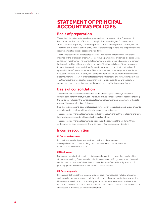# **STATEMENT OF PRINCIPAL ACCOUNTING POLICIES**

## **Basis of preparation**

These financial statements have been prepared in accordance with the Statement of Recommended Practice (SORP): Accounting for Further and Higher Education 2015 and the Financial Reporting Standard applicable in the UK and Republic of Ireland (FRS 102). The University is a public benefit entity and has therefore applied the relevant public benefit requirements of applicable accounting standards.

The financial statements are prepared in accordance with the historical cost convention modified by the revaluation of certain assets including investment properties, biological assets and certain investments. The financial statements have been prepared on the going concern basis which the Council believes to be appropriate. The University has sufficient resources to meet its obligations as they fall due for a period of at least 12 months from the date of approval of these financial statements. The University's financial strategy has a clear focus on sustainability and the University aims to improve its IT infrastructure and implement new systems where necessary in order to facilitate more efficient and effective working practices. The Council is therefore satisfied that the University and its subsidiaries and trusts have adequate resources to continue in operational existence for the foreseeable future.

# **Basis of consolidation**

The consolidated financial statements include the University, the University's subsidiary companies and the University's trusts. The results of subsidiaries acquired or disposed of during the period are included in the consolidated statement of comprehensive income from the date of acquisition or up to the date of disposal.

Intra-Group transactions, gains and losses are eliminated on consolidation. Intra-Group amounts receivable and amounts payable are also eliminated on consolidation.

The consolidated financial statements also include the Group's share of the total comprehensive income of associated undertakings using the equity method.

The consolidated financial statements do not include the activities of the Students' Union as the University does not exert control or dominant influence over policy decisions.

# **Income recognition**

### **(i) Goods and services**

Income from the sale of goods or services is credited to the statement of comprehensive income when the goods or services are supplied or the terms ofthe contract have been satisfied.

#### **(ii) Fee income**

Fee income is credited to the statement of comprehensive income over the period in which students are studying. Bursaries and scholarships are accounted for gross as expenditure and not deducted from income. Where the amount of the tuition fee is reduced by a discount for prompt payment, income receivable is shown net of the discount.

#### **(iii) Revenue grants**

Revenue grants from both government and non-government sources, including all teaching and research grants, are recognised within the statement of comprehensive income when the University is entitled to the income and any performance-related conditions have been met. Income received in advance of performance-related conditions is deferred on the balance sheet and released in line with such conditions being met.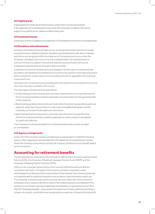#### **(iv) Capital grants**

Capital grants fromboth government and non-government sources are recorded in the statement of comprehensive income when the University is entitled to the income subject to any performance-related conditions being met.

#### **(v) Investment income**

Investment income is credited to the statement of comprehensive income on a receivable basis.

#### **(vi) Donations and endowments**

Donations and endowments are types of non-exchange transactions and do not usually have performance-related conditions. Donations and endowments with donor-imposed restrictions are recognised within the statement of comprehensive income when the University is entitled to the income. Income is retained within the restricted reserve until such time as it is utilised in line with the restrictions at which point the income is released to general reserves through a reserve transfer.

Investment income from endowments and changes in the fair value of endowments are recorded in the statement of comprehensive income in the period in which they arise and as either restricted or unrestricted income according to the terms applicable to the individual endowment fund.

Donations with no restrictions are recorded within the statement of comprehensive income when the University is entitled to the income.

The main types of endowment are given below:

- **•** Unrestricted permanent endowments are funds where the donor has specified that the fund is to be permanently invested to generate an income stream for the general benefit of the University.
- **•** Restricted expendable endowments are funds where the donor has specified a particular objective, other than the purchase or construction of tangible fixed assets, and the University can convert the donated sum into income.
- **•** Restricted permanent endowments are funds where the donor has specified that the fund is to be permanently invested to generate an income stream to be applied to a particular objective.

The University's trusts are excluded from University endowments and are included on consolidation.

#### **(vii) Agency arrangements**

Funds which the University receives and disburses as paying agent on behalf of a funding body or other organisation are excluded from the statement of comprehensive income where the University is exposed to minimal risk or enjoys minimal economic benefit related to the transaction.

## **Accounting for retirement benefits**

The principal pension schemes for the University's staff are the Universities Superannuation Scheme (USS), the University of Reading Employees' Pension Fund (UREPF) and the University of Reading Pension Scheme (URPS).

USS is a multi-employer hybrid scheme which has both defined benefit and defined contribution elements. The assets of the scheme are held in a separate trusteeadministered fund. Because of the mutual nature of the scheme, the scheme's assets are not hypothecated to individual institutions and a scheme-wide contribution rate is set. The University is therefore exposed to actuarial risks associated with other institutions' employees and is unable to identify its share of the underlying assets and liabilities of the scheme on a consistent and reasonable basis and therefore, as required by Section 28 of FRS 102 "Employee benefits", accounts for the scheme as if it were a defined contribution scheme. As a result, contributions are recognised as an expense in the period during which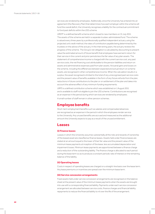services are rendered by employees. Additionally, since the University has entered into an agreement (the Recovery Plan) that determines how each employer within the scheme will fund the overall deficit, the University recognises a liability for the contractual commitment to fund past deficits within the USS scheme.

UREPF is a defined benefit scheme which closed to new members on 31 July 2011. The assets of the scheme are held in a separate trustee-administered fund. The scheme is valued every three years by a professionally qualified independent actuary using the projected unit credit method, the rates of contribution payable being determined by the trustees on the advice of the actuary. In the intervening years, the actuary reviews the progress of the scheme. The Group's net obligation is calculated by discounting to present value the estimated amount of future benefit that employees have earned in return for their service in the current and prior periods less the fair value of any plan assets. The statement of comprehensive income is charged with the current service cost, any past service costs, the net financing cost attributable to the pension liabilities and return on assets and administrative expenses paid from plan assets. Actuarial gains and losses on the scheme, including the differences between expected and actual return on scheme assets, are recognised in other comprehensive income. When the calculation results in a surplus, the asset recognised is limited to the total of any unrecognised past service costs and the present value of benefits available in the form of any future refunds from the plan, reductions in future contributions to the plan or on settlement of the plan and takes into account the adverse effect of any minimum funding requirements.

URPS is a defined contribution scheme which was established on 1 August 2011 and is available to staff not eligible to join the USS scheme. Contributions are recognised as an expense in the period during which services are rendered by employees.

A small number of staff remain in other pension schemes.

## **Employee benefits**

Short-term employment benefits such as salaries and compensated absences are recognised as an expense in the period in which the employees render service to the University. Any unused benefits are accrued and measured as the additional amount the University expects to pay as a result of the unused entitlement.

## **Leases**

#### **(i) Finance leases**

Leases in which the University assumes substantially all the risks and rewards of ownership of the leased asset are classified as finance leases. Assets held under finance leases are stated at an amount equal to the lower of their fair value and the present value of the minimum lease payments at inception of the lease, less accumulated depreciation and impairment losses. Minimum lease payments are apportioned between a finance charge and a reduction of the outstanding liability. The finance charge is allocated to each period during the lease term so as to produce a constant periodic rate of interest on the remaining balance of the liability.

#### **(ii) Operating leases**

Costs in respect of operating leases are charged on a straight-line basis over the lease term. Any lease premiums or incentives are spread over the minimum lease term.

#### **(iii) Service concession arrangements**

Fixed assets held under service concession arrangements are recognised on the balance sheet at the present value of the minimum lease payments when the assets are brought into use with a corresponding financial liability. Payments under each service concession arrangement are allocated between service costs, finance charges and financial liability repayments to reduce the financial liability to nil over the life of the arrangement.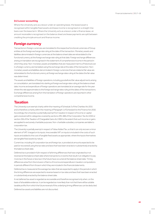#### **(iv) Lessor accounting**

Where the University acts as a lessor under an operating lease, the leased asset is recognised within tangible fixed assets and lease income is recognised on a straight-line basis over the lease term. Where the University acts as a lessor under a finance lease, an amount receivable is recognised on the balance sheet and lease payments are split between crediting the principle amount and finance income.

## **Foreign currency**

Transactions in foreign currencies are translated to the respective functional currencies of Group entities at the foreign exchange rate ruling at the date of the transaction. Monetary assets and liabilities denominated in foreign currencies at the balance sheet date are retranslated to the functional currency at the foreign exchange rate ruling at that date. Foreign exchange differences arising on translation are recognised in the statement of comprehensive income in the period in which they arise. Non-monetary assets and liabilities that are measured in terms of historical cost in a foreign currency are translated using the exchange rate at the date of the transaction. Nonmonetary assets and liabilities denominated in foreign currencies that are stated at fair value are retranslated to the functional currency at foreign exchange rates ruling at the dates the fair value was determined.

The assets and liabilities of foreign operations, including goodwill and fair value adjustments arising on consolidation, are translated into sterling at foreign exchange rates ruling at the balance sheet date. Income and expenditure of foreign operations are translated at an average rate for the year where this rate approximates to the foreign exchange rates ruling at the dates of the transactions. Exchange differences arising from the translation of foreign operations are reported in other comprehensive income.

## **Taxation**

The University is an exempt charity within the meaning of Schedule 3 of the Charities Act 2011 and is therefore a charity within the meaning of Paragraph 1 of Schedule 6 to the Finance Act 2010. Accordingly, the University is potentially exempt from taxation in respect of income or capital gains received within categories covered by sections 478-488 of the Corporation Tax Act 2010 or section 256 of the Taxation of Chargeable Gains Act 1992 to the extent that such income or gains are applied to exclusively charitable purposes. Non-charitable subsidiary companies are liable to corporation tax.

The University is partially exempt in respect of Value Added Tax, so that it can only recover a minor element of VAT charged on its inputs. Irrecoverable VAT on inputs is included in the costs of such inputs and added to the cost of tangible fixed assets as appropriate, where the inputs themselves are tangible fixed assets by nature.

Current tax, including UK corporation tax and foreign tax, is provided at amounts expected to be paid (or recovered) using the tax rates and laws that have been enacted or substantively enacted by the balance sheet date.

Deferred tax is provided in full in respect of all timing differences that have originated but not reversed at the balance sheet date where transactions or events that result in an obligation to pay more tax in the future or less tax in the future have occurred at the balance sheet date. Timing differences arise from the inclusion of items of income and expenditure in taxation computations in periods different from those in which they are included in the financial statements.

Deferred tax is measured at the average tax rates that are expected to apply in the periods in which the timing differences are expected to reverse based on tax rates and laws that have been enacted or substantively enacted by the balance sheet date.

A net deferred tax asset is regarded as recoverable and therefore recognised only when, on the basis of all available evidence, it can be regarded as more likely than not that there will be suitable taxable profits from which the future reversal of the underlying timing differences can be deducted.

Deferred tax assets and liabilities are not discounted.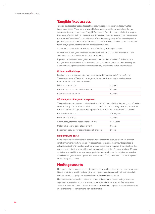## **Tangible fixed assets**

Tangible fixed assets are stated at cost less accumulated depreciation and accumulated impairment losses. Where parts of a tangible fixed asset have different useful lives, they are accounted for as separate items of tangible fixed assets. Costs incurred in relation to a tangible fixed asset after its initial purchase or production are capitalised to the extent that they increase the expected future benefits to the University from the existing tangible fixed asset beyond its previously assessed standard of performance. The costs of any such enhancements are added to the carrying amount of the tangible fixed asset concerned.

Assets under construction are not depreciated until they are brought into use.

Where material, a tangible fixed asset's anticipated useful economic life is reviewed annually and the accumulated and future depreciation adjusted.

Expenditure to ensure that tangible fixed assets maintain their standard of performance is recognised in the statement of comprehensive income when it is incurred. The University has a comprehensive planned maintenance programme, which is reviewed on an annual basis.

#### **(i) Land and buildings**

Freehold land is not depreciated as it is considered to have an indefinite useful life. The components of freehold buildings are depreciated on a straight line basis over their expected useful lives as follows:

| Fabric – construction                | 50 years |
|--------------------------------------|----------|
| Fabric – improvements and extensions | 30 years |
| Mechanical and electrical            | 20 years |

#### **(ii) Plant, machinery and equipment**

The purchase of equipment costing less than £10,000 per individual item or group of related items is charged to the statement of comprehensive income in the year of acquisition. All other equipment is capitalised and depreciated over its expected useful life as follows:

| Plant and machinery                               | $10 - 30$ years |
|---------------------------------------------------|-----------------|
| Furniture and fittings                            | 10 years        |
| Computer systems and associated software          | $4-10$ years    |
| Motor vehicles and general equipment              | 4 years         |
| Equipment acquired for specific research projects | 3 years         |

### **(iii) Borrowing costs**

Borrowing costs directly relating to expenditure on the construction, development or major refurbishment of a qualifying tangible fixed asset are capitalised. The amount capitalised is calculated using the University's weighted average cost of borrowings over the period from the commencement of the work until the date of practical completion. The capitalisation of finance costs is suspended if there are prolonged periods when development activity is interrupted. All other borrowing costs are recognised in the statement of comprehensive income in the period in which they are incurred.

## **Heritage assets**

Heritage assets are books, manuscripts, specimens, artworks, objects or other assets that have historical, artistic, scientific, technological, geophysical or environmental qualities that are held and maintained principally for their contribution to knowledge and culture.

Heritage assets are stated at cost less accumulated impairment losses. Heritage assets are capitalised where information on their cost or value is available. Where this information is not available without undue cost, the assets are not capitalised. Heritage assets are not depreciated due to their long economic life and high residual value.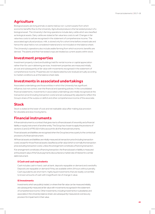# **Agriculture**

Biological assets are living animals or plants held as non-current assets from which economic benefits flow to the University. Agricultural produce is the harvested product of a biological asset. The University's farming operations include dairy cattle which are classified as biological assets. Dairy cattle are stated at fair value less costs to sell. Changes in fair value less costs to sell are recognised in the statement of comprehensive income. The associated agricultural produce, milk, is stored only for a short time before onward sale and hence the value held is not considered material and is not included on the balance sheet.

The University's operations also include arable farming from which economic benefits are derived. The plants and their harvested crops are treated as current assets within stock.

## **Investment properties**

Investment property is land and buildings held for rental income or capital appreciation rather than for use in delivering services. Investment properties are measured initially at cost and subsequently at fair value with movements recognised in the statement of comprehensive income. Properties are not depreciated but are revalued annually according to market conditions as at the balance sheet date.

## **Investments in associated undertakings**

Associated undertakings are those entities in which the University has significant influence, but not control, over the financial and operating policies. In the consolidated financial statements, investments in associated undertakings are initially recognised at the transaction price (including transaction costs) and are subsequently adjusted to reflect the Group's share of the surplus or deficit and other comprehensive income of the associate.

# **Stock**

Stock is stated at the lower of cost and net realisable value after making due provision for obsolete and slow moving items.

# **Financial instruments**

A financial instrument is a contract that gives rise to a financial asset of one entity and a financial liability or equity instrument of another entity. The Group has chosen to apply the provisions of sections 11 and 12 of FRS 102 in full to account for all of its financial instruments.

Financial assets and liabilities are recognised when the Group becomes a party to the contractual provisions of a financial instrument.

All financial assets and liabilities are initially measured at transaction price (including transaction costs), except for those financial assets classified as at fair value (which is normally the transaction price excluding transaction costs), unless the arrangement constitutes a financing transaction.

If an arrangement constitutes a financing transaction, the financial asset or liability is measured at the present value of the future payments discounted at a market rate of interest for a similar debtinstrument.

## **i) Cash and cash equivalents**

Cash includes cash in hand, cash at bank, deposits repayable on demand and overdrafts. Deposits are repayable on demand if they are available within 24 hours without penalty. Cash equivalents are short term, highly liquid investments that are readily convertible to known amounts of cash with insignificant risk of change in value.

## **ii) Investments**

Investments which are publicly traded, or where their fair value can be measured reliably, are subsequently measured at fair value with movements recognised in the statement of comprehensive income. Other investments, including investments in subsidiaries and associates in the University balance sheet, are subsequently measured at cost less any provision for impairment in their value.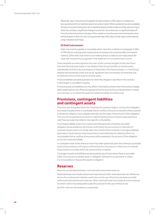Where fair value measurement is applied, the best evidence of fair value is considered to be a quoted price for an identical asset in an active market. When quoted prices are unavailable, the price of a recent transaction for an identical asset provides evidence of fair value as long as there has not been a significant change in economic circumstances or a significant lapse of time since the transaction took place. If the market is not active and recent transactions of an identical asset on their own are not a good estimate of fair value, the fair value is estimated by using a valuation technique.

#### **iii) Debt instruments**

Debt instruments payable or receivable which meet the conditions in paragraph 11.8(b) of FRS 102 are subsequently measured at amortised cost using the effective interest method. Other debt instruments not meeting these conditions are measured at fair value with movements recognised in the statement of comprehensive income.

Financial assets are derecognised only when a) the contractual rights to the cash flows from the financial asset expire or are settled, b) the Group transfers to another party substantially all of the risks and rewards of ownership of the financial asset, or c) the Group, despite having retained some, but not all, significant risks and rewards of ownership, has transferred control of the asset to another party.

Financial liabilities are derecognised only when the obligation specified in the contract is discharged, is cancelled or expires.

Financial assets and liabilities are only offset in the balance sheet when there exists a legally enforceable right to set off the recognised amounts and the Group intends either to settle on a net basis, or to realise the asset and settle the liability simultaneously.

## **Provisions, contingent liabilities and contingent assets**

Provisions are recognised when the University has a present legal or constructive obligation as a result of a past event, it is probable that an outflow of economic benefits will be required to settle the obligation and a reliable estimate can be made of the amount of the obligation. The amount recognised as a provision is determined by discounting the expected future cash flows at a rate that reflects risks specific to the liability.

A contingent liability arises from a past event that gives the University a possible obligation whose existence will only be confirmed by the occurrence or otherwise of uncertain future events not wholly within the control of the University. Contingent liabilities also arise in circumstances where a provision would otherwise be made but either it is not probable that an outflow of resources will be required or the amount of the obligation cannot be measured reliably.

A contingent asset arises where an event has taken place that gives the University a possible asset whose existence will only be confirmed by the occurrence or otherwise of uncertain future events not wholly within the control of the University.

Contingent assets and liabilities are disclosed by way of note where there is a possible rather than actual or probable asset or obligation arising from a past event or where it is not possible to measure the asset or obligation.

## **Reserves**

Reserves are allocated between restricted and unrestricted reserves.

Restricted reserves include endowment reserves and other restricted reserves. Where the terms of an endowment indicate a restriction on the use of the fund, the balance is held within restricted endowment reserves. Other restricted reserves include amounts received for which a donor has designated a specific purpose for the use of these funds.

All other reserves are treated as unrestricted.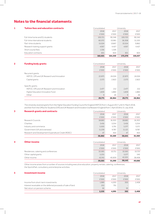# **Notes to the financial statements**

| 1 | <b>Tuition fees and education contracts</b> | Consolidated |         | University |         |
|---|---------------------------------------------|--------------|---------|------------|---------|
|   |                                             | 2018         | 2017    | 2018       | 2017    |
|   |                                             | £'000        | £'000   | £'000      | £'000   |
|   | Full-time home and EU students              | 100.721      | 90.346  | 100.720    | 90.345  |
|   | Full-time international students            | 60.072       | 53.981  | 56.308     | 51,320  |
|   | Part-time students                          | 15,024       | 13.667  | 10.554     | 9.862   |
|   | Research training support grants            | 4.957        | 4.427   | 4.957      | 4.427   |
|   | Short course fees                           | 1.316        | 1.326   |            |         |
|   | Education contracts                         | 831          | 603     | 831        | 603     |
|   |                                             | 182,921      | 164.350 | 173,370    | 156,557 |

## **2 Funding body grants Consolidated** University

|                                           | 29,771         | 28,964 | 29,771     | 28,964 |
|-------------------------------------------|----------------|--------|------------|--------|
| Other                                     | 9              | 26     | 9          | 26     |
| Higher Education Innovation Fund          | 1,839          | 1,880  | 1,839      | 1,880  |
| HEFCE. OfS and UK Research and Innovation | 2.477          | 212    | 2,477      | 212    |
| Specific grants                           |                |        |            |        |
| Capital grants                            | 2.573          | 2.822  | 2.573      | 2.822  |
| HEFCE, OfS and UK Research and Innovation | 22.873         | 24.024 | 22.873     | 24.024 |
| Recurrent grants                          |                |        |            |        |
|                                           | £'000          | £'000  | £'000      | £'000  |
|                                           | 2018           | 2017   | 2018       | 2017   |
|                                           | oon oo maa coa |        | ---------- |        |

The University received grants from the Higher Education Funding Council for England (HEFCE) from 1 August 2017 until 31 March 2018, and then from the Office for Students (OfS) and UK Research and Innovation (via Research England) from 1 April 2018 to 31 July 2018.

| 3 | <b>Research grants and contracts</b>               | Consolidated |        | University |        |
|---|----------------------------------------------------|--------------|--------|------------|--------|
|   |                                                    | 2018         | 2017   | 2018       | 2017   |
|   |                                                    | £'000        | £'000  | £'000      | £'000  |
|   | Research Councils                                  | 18.680       | 16.303 | 18.680     | 16.303 |
|   | Charities                                          | 3.416        | 3.254  | 3.416      | 3.254  |
|   | Industry and commerce                              | 5.500        | 5.791  | 5.377      | 5.571  |
|   | Government (UK and overseas)                       | 11.239       | 9.787  | 11.121     | 9.787  |
|   | Research and Development Expenditure Credit (RDEC) | 47           | 454    | 47         | 454    |
|   |                                                    | 38,882       | 35,589 | 38.641     | 35,369 |

|   |                                      | 59,583       | 51,590     | 58,143 | 49,686 |  |
|---|--------------------------------------|--------------|------------|--------|--------|--|
|   | Other income                         | 43.743       | 40.839     | 42,001 | 38,408 |  |
|   | Other capital grants                 | 5,255        |            | 5.577  | 545    |  |
|   | Residences, catering and conferences | 10,585       | 10.751     | 10,565 | 10,733 |  |
|   |                                      | £'000        | £'000      | £'000  | £'000  |  |
|   |                                      | 2018         | 2017       | 2018   | 2017   |  |
| 4 | Other income                         | Consolidated | University |        |        |  |

Other income arises from a number of sources including executive education, property rentals, catering, conferences, the SportsPark, consultancy and enterprise activities.

| 5 | Investment income                                            | Consolidated | University |       |                          |
|---|--------------------------------------------------------------|--------------|------------|-------|--------------------------|
|   |                                                              | 2018         | 2017       | 2018  | 2017                     |
|   |                                                              | £'000        | £'000      | £'000 | £'000                    |
|   | Income from short-term investments                           | 1.989        | 4.200      | 300   | 2.408                    |
|   | Interest receivable on the deferred proceeds of sale of land | 253          | 791        |       | $\overline{\phantom{a}}$ |
|   | Net return on pension scheme                                 | 93           | -          | 93    |                          |
|   |                                                              | 2,335        | 4.991      | 393   | 2,408                    |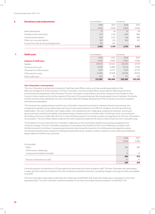#### Financial statements | 2017–18

| 6 | <b>Donations and endowments</b>         | Consolidated | University |       |       |  |
|---|-----------------------------------------|--------------|------------|-------|-------|--|
|   |                                         | 2018         | 2017       | 2018  | 2017  |  |
|   |                                         | £'000        | f'000      | £'000 | £'000 |  |
|   | New endowments                          | 25           | 49         | 25    | 49    |  |
|   | Donations with restrictions             | 1,721        | 1.144      | 1,390 | 860   |  |
|   | Unrestricted donations                  | 643          | 1.077      | 446   | 869   |  |
|   | Other non-recurrent grants              | 903          | 573        | 902   | 573   |  |
|   | Income from site servicing arrangements | 391          | 567        |       |       |  |
|   |                                         | 3,683        | 3,410      | 2,763 | 2,351 |  |

| <b>Staff costs</b>             | Consolidated | University |         |         |
|--------------------------------|--------------|------------|---------|---------|
|                                | 2018         | 2017       | 2018    | 2017    |
| <b>Analysis of staff costs</b> | £'000        | £'000      | £'000   | £'000   |
| <b>Salaries</b>                | 130,610      | 122,421    | 125,530 | 117.719 |
| Social security costs          | 12.789       | 11,860     | 12,513  | 11,641  |
| Movement on USS provision      | (324)        | (2,771)    | (324)   | (2,771) |
| Other pension costs            | 31,280       | 29,368     | 30.496  | 28,763  |
| Other staff costs              | 650          | (9)        | 371     | (10)    |
|                                | 175,005      | 160.869    | 168,586 | 155,342 |

#### **Vice-Chancellor's remuneration**

The Vice-Chancellor is de facto the University's Chief Executive Officer, and as such has overall responsibility for the effective management of the University. The Vice-Chancellor is the accountable officer responsible for effective governance and the financial stewardship of the University. The Vice‐Chancellor is responsible to and works closely with the President of the Council in these matters and in all other aspects of the work of the governing body. Working alongside Council members, the Senate and the University Executive Board, the Vice-Chancellor leads the strategic development of the University, ensuring its academic and financial sustainability.

The University has a global presence and the Vice-Chancellor is required to promote its interests at home and overseas, and is expected to develop strong relationships with Government representatives, the Office for Students, the UUK and other key stakeholders. The Vice-Chancellor role is highly visible, multi-faceted and very challenging. Leading the institution, ensuring its good governance and financial stability, and representing its interests across a complex matrix of settings is time-consuming and demanding of the post-holder. With all of this in mind, the Remuneration Committee considers arrangements for the Vice-Chancellor's remuneration. The Committee utilises evidence from both inside and outside the HE sector to benchmark the Vice-Chancellor's pay.

The President of Council sets the Vice-Chancellor's objectives on the Committee's behalf, ensuring they are aligned to the University strategy. The Vice-Chancellor's appraisal is conducted by the President of the Council following consultation with the Remuneration Committee. In assessing personal and collective performance the Committee gives due regard to a series of institutional performance indicators including financial performance, student numbers, research income, external accreditation, league tables and staff survey outcomes.

|                               | 2018           | 2017  |
|-------------------------------|----------------|-------|
|                               | £'000          | £'000 |
| Sir David Bell:               |                |       |
| Salary                        | 265            | 260   |
| Performance-related pay       | $\overline{c}$ |       |
| Living accommodation provided | 15             | 12    |
|                               | 282            | 272   |
| Pension contributions to USS  | 47             | 47    |
|                               | 329            | 319   |

University pension contributions to USS are paid at the same rate as for other academic staff. The Vice-Chancellor also participates in salary sacrifice schemes in respect of his USS contributions and the University's car parking charges; such opportunities are available to all staff.

The Vice Chancellor's basic salary is 8.6 times the median pay of staff (2017: 8.9), where the median pay is calculated on a full-time equivalent basis. The Vice-Chancellor's total remuneration is 9.2 times the median total remuneration of staff (2017: 9.3).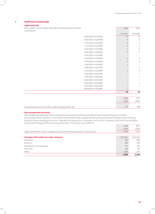## **7 Staff costs (continued)**

## **Higher paid staff**

Remuneration of other higher paid contributions:

| aid staff, excluding employer's pension |                      | 2018                     | 2017                     |
|-----------------------------------------|----------------------|--------------------------|--------------------------|
|                                         |                      | Number                   | Number                   |
|                                         | £100,000 to £104,999 | 10                       | 13                       |
|                                         | £105,000 to £109,999 | 9                        | 8                        |
|                                         | £110,000 to £114,999 | 8                        | 5                        |
|                                         | £115,000 to £119,999 | 5                        | $\mathfrak Z$            |
|                                         | £120,000 to £124,999 | $\overline{c}$           | 5                        |
|                                         | £125,000 to £129,999 | 6                        | 5                        |
|                                         | £130,000 to £134,999 |                          | $\overline{a}$           |
|                                         | £135,000 to £139,999 | $\mathfrak{Z}$           | 5                        |
|                                         | £140,000 to £144,999 | 3                        | $\overline{c}$           |
|                                         | £145,000 to £149,999 | $\mathbf 1$              | $\overline{\phantom{a}}$ |
|                                         | £150,000 to £154,999 |                          | $\overline{c}$           |
|                                         | £155,000 to £159,999 | $\overline{c}$           | $\overline{c}$           |
|                                         | £190,000 to £194,999 | $\overline{\phantom{a}}$ | $\mathbf{1}$             |
|                                         | £195,000 to £199,999 | $\overline{\phantom{a}}$ | $\mathbf{1}$             |
|                                         | £200,000 to £204,999 | $\mathbf 1$              |                          |
|                                         | £220,000 to £224,999 |                          | $\mathbf{1}$             |
|                                         | £255,000 to £259,999 |                          | 1                        |
|                                         | £260,000 to £264,999 | $\mathbf 1$              |                          |
|                                         |                      | 51                       | 54                       |
|                                         |                      |                          |                          |
|                                         |                      | 2018                     | 2017                     |
|                                         |                      | £000                     | £000                     |
|                                         |                      |                          |                          |

| Compensation for loss of office to 66 employees (2017: 85) | 78C |
|------------------------------------------------------------|-----|

#### **Key management personnel**

Key management personnel are those persons having authority and responsibility for planning, directing and controlling the activities of the University. The University has identified its key management personnel as being the members of the University Executive Group consisting of the Vice-Chancellor, the Deputy Vice-Chancellor, the Pro-Vice-Chancellors, the Chief Financial Officer and the Chief Strategy Officer & University Secretary. This covers 7 posts (2017: 7).

|                                                                                   | 2018   | 2017   |
|-----------------------------------------------------------------------------------|--------|--------|
|                                                                                   | £000   | £000   |
| Salary and benefits of key management personnel (including pension contributions) | 1,297  | 1,277  |
|                                                                                   |        |        |
| Average staff numbers by major category:                                          | Number | Number |
| Academic                                                                          | 975    | 968    |
| Research                                                                          | 363    | 346    |
| Management and specialist                                                         | 917    | 912    |
| Technical                                                                         | 158    | 167    |
| Other                                                                             | 1.088  | 1.045  |
|                                                                                   | 3,501  | 3,438  |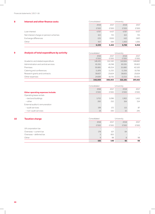## Financial statements | 2017–18

| 8<br>Interest and other finance costs  | Consolidated |       | University |       |
|----------------------------------------|--------------|-------|------------|-------|
|                                        | 2018         | 2017  | 2018       | 2017  |
|                                        | £'000        | £'000 | £'000      | £'000 |
| Loan interest                          | 4.767        | 4,417 | 4.767      | 4.417 |
| Net interest charge on pension schemes | 621          | 721   | 621        | 721   |
| Exchange differences                   | (25)         | (300) | (42)       | (187) |
| Other                                  | 957          | 584   | 1.400      | 1.065 |
|                                        | 6,320        | 5,422 | 6,746      | 6,016 |

## **9 Analysis of total expenditure by activity Consolidated** University

|                                     | oon isolidadee | --------- |         |         |  |
|-------------------------------------|----------------|-----------|---------|---------|--|
|                                     | 2018           | 2017      | 2018    | 2017    |  |
|                                     | £'000          | £'000     | £'000   | £'000   |  |
| Academic and related expenditure    | 148.491        | 152,340   | 142,684 | 148,682 |  |
| Administration and central services | 65,361         | 45.748    | 60,261  | 39,822  |  |
| Premises                            | 59,885         | 49.254    | 55,880  | 42,520  |  |
| Catering and conferences            | 11,876         | 11,232    | 11,356  | 10.756  |  |
| Research grants and contracts       | 38,607         | 25.624    | 38,605  | 25,624  |  |
| Other expenses                      | 24.689         | 16.735    | 13.315  | 30.051  |  |
|                                     | 348.909        | 300.933   | 322.101 | 297,455 |  |

|                                          | Consolidated | University |       |       |
|------------------------------------------|--------------|------------|-------|-------|
|                                          | 2018         | 2017       | 2018  | 2017  |
| <b>Other operating expenses include:</b> | £'000        | £'000      | £'000 | £'000 |
| Operating lease rentals                  |              |            |       |       |
| -land and buildings                      | 5.753        | 5.096      | 1.902 | 1,412 |
| $-\text{other}$                          | 260          | 252        | 164   | 154   |
| External auditor's remuneration          |              |            |       |       |
| - audit services                         | 199          | 172        | 115   | 87    |
| - non-audit services                     | 19           | 330        | 10    | 245   |

## **10 <b>Taxation charge Taxation charge Consolidated** University

|                         | 192   | 140                      | 92    | 98       |
|-------------------------|-------|--------------------------|-------|----------|
| Other                   | q     | 98                       | 8     | 98       |
| Overseas - deferred tax |       | (65)                     |       |          |
| Overseas - current tax  | 178   | 107                      | 84    | $\equiv$ |
| UK corporation tax      |       | $\overline{\phantom{0}}$ |       |          |
|                         | £'000 | £'000                    | £'000 | £'000    |
|                         | 2018  | 2017                     | 2018  | 2017     |

 $\overline{\phantom{a}}$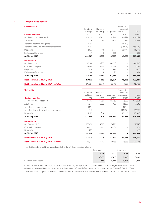## **11 Tangible fixed assets ib**

|         |                                           |                                           | Assets in the            |                                                           |
|---------|-------------------------------------------|-------------------------------------------|--------------------------|-----------------------------------------------------------|
|         |                                           |                                           |                          | Total                                                     |
|         |                                           |                                           |                          | £'000                                                     |
|         |                                           |                                           |                          |                                                           |
|         |                                           |                                           |                          | 658,397                                                   |
| 7.719   | 1,269                                     | 4,709                                     | 32,819                   | 46,516                                                    |
| 1,294   |                                           | $\overline{\phantom{a}}$                  | (1,294)                  |                                                           |
| 1,760   | $\qquad \qquad -$                         | $\overline{\phantom{a}}$                  | (38, 538)                | (36, 778)                                                 |
| (415)   | (92)                                      | (263)                                     | (15.991)                 | (16,761)                                                  |
| 317     | 2                                         | 366                                       |                          | 685                                                       |
| 441,827 | 17,250                                    | 147,759                                   | 45,223                   | 652,059                                                   |
|         |                                           |                                           |                          |                                                           |
| 160,148 | 5,960                                     | 80,530                                    | $\overline{\phantom{a}}$ | 246,638                                                   |
| 24,289  | 3.245                                     | 11,539                                    | $\overline{\phantom{a}}$ | 39,073                                                    |
| (348)   | (75)                                      | (260)                                     | $\overline{\phantom{a}}$ | (683)                                                     |
| 66      | 2                                         | 126                                       | $\overline{\phantom{a}}$ | 194                                                       |
| 184,155 | 9,132                                     | 91,935                                    | ۰                        | 285,222                                                   |
| 257,672 | 8,118                                     | 55,824                                    | 45,223                   | 366,837                                                   |
| 271,004 | 10.111                                    | 62,417                                    | 68,227                   | 411,759                                                   |
|         | Land and<br>buildings<br>£'000<br>431,152 | Plant and<br>machinery<br>£'000<br>16,071 | £'000<br>142,947         | course of<br>Equipment<br>construction<br>£'000<br>68,227 |

| <b>University</b>                           |           |           |                          | Assets in the            |           |
|---------------------------------------------|-----------|-----------|--------------------------|--------------------------|-----------|
|                                             | Land and  | Plant and |                          | course of                |           |
|                                             | buildings | machinery | Equipment                | construction             | Total     |
| <b>Cost or valuation</b>                    | £'000     | £'000     | £'000                    | £'000                    | £'000     |
| At 1 August 2017 - restated                 | 403,203   | 16,056    | 135,739                  | 67,855                   | 622,853   |
| Additions                                   | 6.844     | 1,270     | 4,498                    | 32,637                   | 45,249    |
| Transfers between categories                | 1,294     |           | $\overline{\phantom{a}}$ | (1,294)                  |           |
| Transfers from / (to) investment properties | 745       |           | $\overline{\phantom{a}}$ | (38.538)                 | (37,793)  |
| <b>Disposals</b>                            | (132)     | (18)      | -                        | (15.992)                 | (16, 142) |
| At 31 July 2018                             | 411,954   | 17,308    | 140,237                  | 44,668                   | 614,167   |
| <b>Depreciation</b>                         |           |           |                          |                          |           |
| At 1 August 2017                            | 153,472   | 5.887     | 78,281                   | $\overline{\phantom{a}}$ | 237,640   |
| Charge for the year                         | 14,235    | 3,245     | 10.384                   | $\overline{\phantom{a}}$ | 27,864    |
| <b>Disposals</b>                            | (67)      |           |                          | $\overline{\phantom{a}}$ | (67)      |
| At 31 July 2018                             | 167,640   | 9,132     | 88,665                   | ۰                        | 265,437   |
| Net book value at 31 July 2018              | 244,314   | 8,176     | 51,572                   | 44,668                   | 348,730   |
| Net book value at 31 July 2017 - restated   | 249,731   | 10,169    | 57,458                   | 67,855                   | 385,213   |

Included in land and buildings above is land which is not depreciated as follows:

|                      | Consolidated |        | University |        |
|----------------------|--------------|--------|------------|--------|
|                      | 2018         | 2017   | 2018       | 2017   |
|                      | £'000        | £'000  | £'000      | £'000  |
| Land not depreciated | 18,336       | 18,336 | 10,245     | 10,245 |

Interest of £362k has been capitalised in the year to 31 July 2018 (2017: £777k) and is included within tangible fixed assets. Total aggregate capitalised finance costs to date within the cost of tangible fixed assets at 31 July 2018 were £5,098k (2017: £5,204k). The balances at 1 August 2017 shown above have been restated from the previous year's financial statements as set out in note 35.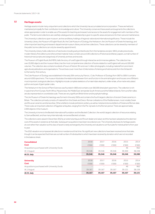## **12 Heritage assets**

Heritage assets include many unique items and collections which the University has accumulated since incorporation. These are held and maintained principally for their contribution to knowledge and culture. The University conserves these assets and augments the collections where appropriate in order to enable use of the assets for teaching and research and access to the assets for engagement with members of the public. The items and collections are carefully catalogued and custodianship is given to specific areas and persons for their care and maintenance.

The University's collections span museum, archive and library holdings of regional, national and international significance. These include the University Library, the Museum of English Rural Life, the Cole Museum of Zoology, the Herbarium, the Ure Museum of Greek Archaeology, and other important teaching and research departmental museum, library and archive collections. These collections can be viewed by members of the public (some collections can only be viewed by appointment).

The University Library holds collections of rare books including early printed books from the handpress era (pre-1851), private press books, modern literary first editions and other printed material. It also contains around 140 collections of historical and literary papers, a small number of historical manuscripts and a large body of University archives and records.

The Museum of English Rural Life (MERL) tells the story of rural England through interactive and immersive galleries. The collection has over25,000objectsandthemuseumlibraryhas themostcomprehensivecollectionofbooks relatedtoruralEnglandwitharound100,000 volumes. The collection also contains hundreds of hours of historic film and over 1 million photographs, including material from prominent agricultural publications and organisations. The archives cover more than 4.5 kilometres of shelving and hold records from the thirteenth to the twenty-first century.

The Cole Museum of Zoology was established in the early 20th century by Francis J. Cole, Professor of Zoology from 1907 to 1939. It contains around 4,000 specimens. The museum illustrates the relationship between form and function in the animal kingdom and houses one of Britain's most important zoological collections. Highlights include complete skeletons of a male Indian elephant, a killer whale, a five metre reticulated python and a pair of giant spider crabs.

The Herbarium in the School of Plant Sciences was founded in 1900 and contains over 260,000 dried plant specimens. The collection is rich in specimens from Europe, North Africa, Macaronesia, the Middle East, temperate South America and the Falkland Islands. Ferns and fern allies are also represented on a worldwide scale. There are very significant British lichen and bryophyte holdings.

The Ure Museum of Greek Archaeology was formed in the early 1920s and contains the fourth largest collection of ancient Greek ceramics in Britain.ThecollectionprimarilyconsistsofmaterialfromtheGreekandGreco-RomancivilisationsoftheMediterranean,mostnotablyGreek and Etruscan ceramics and terracottas. Other artefacts include prehistoric pottery, as well as metal and stone artefacts of Greek and Roman date. There is also an important collection of Egyptian antiquities, ranging from the Pre-dynastic to the Roman period. There are approximately 2,000 objects in the museum.

The University is home to the Beckett International Foundation and the Beckett Collection, the world's largest collection of resources relating to Samuel Beckett, and has many internationally-renowned Beckett scholars.

The collections were valued in December 2012 by an external antique and fine art dealer and valuer and this has been adopted as the deemed cost of the assets in existence at that date. Subsequent acquisitions have been recorded at cost. The University discloses its heritage assets at cost rather than valuation as this class of asset is rarely exchanged by the University and valuations can fluctuate for individual items from year toyear.

The 2012 valuation encompassed all collections in existence at that time. No significant new collections have been received since that date, though it can be expected that there are a small number of individual items which have been received by donation which are not recorded in the balance sheet.

| <b>Consolidated</b>                          | 2018   | 2017   | 2016   | 2015   | 2014   |
|----------------------------------------------|--------|--------|--------|--------|--------|
| <b>Cost</b>                                  | £'000  | £'000  | £'000  | £'000  | £'000  |
| Acquisitions purchased with University funds |        |        |        | 46     | 962    |
| At 1 August                                  | 39.346 | 39.346 | 39.346 | 39.300 | 38,338 |
| At 31 July                                   | 39,346 | 39,346 | 39,346 | 39,346 | 39,300 |
|                                              |        |        |        |        |        |
| <b>University</b>                            | 2018   | 2017   | 2016   | 2015   | 2014   |
| <b>Cost</b>                                  | £'000  | £'000  | £'000  | £'000  | £'000  |
| Acquisitions purchased with University funds |        |        |        | 46     | 962    |
| At 1 August                                  | 39.167 | 39.167 | 39.167 | 39,121 | 38.159 |
| At 31 July                                   | 39,167 | 39,167 | 39,167 | 39,167 | 39,121 |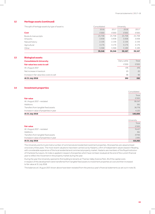## **12 Heritage assets (continued)**

| The split of heritage assets by type of asset is: | Consolidated |        | University |        |
|---------------------------------------------------|--------------|--------|------------|--------|
|                                                   | 2018         | 2017   | 2018       | 2017   |
| Cost                                              | £'000        | £'000  | £'000      | £'000  |
| Books & manuscripts                               | 25,708       | 25.708 | 25.708     | 25.708 |
| Artworks                                          | 3.938        | 3.938  | 3.938      | 3.938  |
| Natural history                                   | 2.156        | 2.156  | 2.156      | 2.156  |
| Agricultural                                      | 4.176        | 4.176  | 4.176      | 4.176  |
| Other                                             | 3.368        | 3.368  | 3.189      | 3.189  |
|                                                   | 39,346       | 39.346 | 39,167     | 39,167 |

#### **13 Biological assets**

| <b>Consolidated &amp; University</b><br>Fair value less costs to sell | Dairy cattle<br>£'000 | Total<br>£'000 |
|-----------------------------------------------------------------------|-----------------------|----------------|
|                                                                       |                       |                |
| At 1 August 2017                                                      | 476                   | 476            |
| Net increase in livestock                                             | 20                    | 20             |
| Increase in fair value less costs to sell                             | 96                    | 96             |
| At 31 July 2018                                                       | 592                   | 592            |

## **14 Investment properties**

|                                         | Consolidated |
|-----------------------------------------|--------------|
|                                         | Total        |
| <b>Fair value</b>                       | £'000        |
| At 1 August 2017 - restated             | 99,347       |
| Additions                               | 361          |
| Transfers from tangible fixed assets    | 36,778       |
| Increase in value of properties in year | 4,120        |
| At 31 July 2018                         | 140,606      |

|                                         | University |
|-----------------------------------------|------------|
|                                         | Total      |
| <b>Fair value</b>                       | £'000      |
| At 1 August 2017 - restated             | 74,417     |
| Additions                               | 361        |
| Transfers from tangible fixed assets    | 37,793     |
| Increase in value of properties in year | 2.991      |
| At 31 July 2018                         | 115,562    |

The University and its trusts hold a number of commercial and residential investment properties. All properties are valued at least once every three years. The most recent valuations have been carried out by Haslams, a firm of independent valuers based in Reading, with considerable experience of the local residential and commercial property market. Haslams are members of the Royal Institution of Chartered Surveyors. An index is applied in respect of properties which have not been revalued at the end of the current financial year to reflect the movement in the property market during the year.

During the year the University opened its first building to tenants at Thames Valley Science Park. All of the capital costs in respect of this development were transferred from tangible fixed assets to investment properties at cost and then increased to fair value at 31 July 2018.

The balances at 1 August 2017 shown above have been restated from the previous year's financial statements as set out in note 35.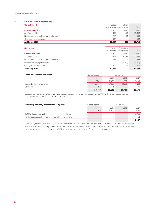## **15 Non-current investments**

| <b>Consolidated</b>                      | Listed | Other                    |        |
|------------------------------------------|--------|--------------------------|--------|
|                                          |        | investments investments  | Total  |
| <b>Cost or valuation</b>                 | f'000  | £'000                    | £'000  |
| At 1 August 2017                         | 19.196 | 168                      | 19.364 |
| Net income and realised gains reinvested | 787    | 63                       | 850    |
| Changes in market value                  | 504    | $\overline{\phantom{0}}$ | 504    |
| At 31 July 2018                          | 20,487 | 231                      | 20,718 |

| <b>University</b>                        | Listed<br>investments    | Subsidiary<br>companies  | Total   |
|------------------------------------------|--------------------------|--------------------------|---------|
| <b>Cost or valuation</b>                 | £'000                    | £'000                    | £'000   |
| At 1 August 2017                         | 19.196                   | 8.087                    | 27,283  |
| Net income and realised gains reinvested | 787                      | $\overline{\phantom{m}}$ | 787     |
| Impairment charge for the year           | $\overline{\phantom{m}}$ | (8.087)                  | (8.087) |
| Changes in market value                  | 504                      | $\overline{\phantom{a}}$ | 504     |
| At 31 July 2018                          | 20,487                   | $\overline{\phantom{a}}$ | 20,487  |

| Listed investments comprise: | Consolidated |        | University |        |
|------------------------------|--------------|--------|------------|--------|
|                              | 2018         | 2017   | 2018       | 2017   |
|                              | £'000        | £'000  | £'000      | £'000  |
| Sarasin Endowments Funds     | 20,370       | 19.123 | 20.370     | 19,123 |
| Genus plc                    | 117          | 73     | 117        | 73     |
|                              | 20,487       | 19,196 | 20,487     | 19,196 |

Listed investments are stated at fair value based on the quoted price in an active market. Where there is no active market, investments are stated at cost less impairment.

| Subsidiary company investments comprise: |          | Consolidated             |                          | University |       |
|------------------------------------------|----------|--------------------------|--------------------------|------------|-------|
|                                          |          | 2018                     | 2017                     | 2018       | 2017  |
|                                          |          | f'000                    | £'000                    | f'000      | £'000 |
| RUMAL Reading Sdn. Bhd.                  | Malaysia | -                        |                          |            | 8.066 |
| Henley Business School Germany GmbH      | Germany  | $\overline{\phantom{0}}$ | -                        |            |       |
|                                          |          |                          | $\overline{\phantom{a}}$ |            | 8,087 |

During the year, the University's £8,066k investment in RUMAL Reading Sdn. Bhd. and its £21k investment in Henley Business School GmbH were reviewed for impairment due to their recent loss-making positions. A decision was taken to fully impair both of these investments resulting in a charge of £8,087k to the University's statement of comprehensive income.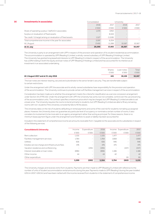## **16 Investments in associates Consolidated** University 2018 2017 2018 2017 £'000 £'000 £'000 £'000 Share of operating surplus / (deficit) in associates 1,570 1,570 (292) Surplus on revaluation of fixed assets and the state of the state  $\sim$  8,024  $-$  -8,024 Tax credit / (charge) arising on revaluation of fixed assets 1,527 (1,528) 1,527 (1,528) Total comprehensive income in the year for associates 3,097 6,204 At 1 August 11,289 10,567 10,567 10,567 10,567 10,567 10,567 10,567 10,567 10,567 10,567 10,567 10,567 10,567 10,567 10,567 10,567 10,567 10,567 10,567 10,567 10,567 10,567 10,567 10,567 10,567 10,567 10,567 10,567 10,567 **At 31 July 20,590 17,493 10,567 10,567**

The University is party to an arrangement with UPP in respect of the provision and operation of its student residential accommodation. The accommodation is operated by UPP (Reading I) Limited, a wholly-owned subsidiary of UPP (Reading I) Holdings Limited. The University has granted long leasehold interests to UPP (Reading I) Limited in respect of the accommodation. The University has a 20% holding in both the equity and loan notes of UPP (Reading I) Holdings Limited and has accounted for its interest as an investment in an associated undertaking.

| At 1 August 2017 and at 31 July 2018 | 441    | 10.126     | 10.567 |
|--------------------------------------|--------|------------|--------|
|                                      | £'000  | £'000      | £'000  |
|                                      | Shares | Loan notes | Total  |

The loan notes are interest-bearing, secured and subordinate to the senior lender's security. They are transferrable subject to certain restrictions.

Under the arrangement with UPP, the associate and its wholly-owned subsidiaries have responsibility for the provision and operation of the accommodation. The University continues to provide certain soft facilities management services in respect of the accommodation.

Consideration has been made as to whether the arrangement meets the criteria for classification as a service concession arrangement under Section 34 of FRS 102. Under the arrangement with UPP, the University has some, but not complete, control over the use and pricing of the accommodation units. The contract specifies a maximum price which may be charged, but UPP (Reading I) Limited are able to set a lower price. The University requires the rooms to be let primarily to students, but UPP (Reading I) Limited are able to fill any remaining rooms with non-students if the University consistently fails to fill the places.

The University takes on the risk of students defaulting on rental payments and some of the void risk for students not taking up assigned places. However, the University does not guarantee any particular level of occupancy or nominate a certain number of rooms. It also considers its involvement to be more akin to an agency arrangement rather than acting as principal. For these reasons, there is no minimum lease payment figure under the arrangement and therefore no asset or liability has been accounted for.

Included in the statement of comprehensive income are amounts receivable from /(payable to) the associate and its subsidiaries in respect of the following services.

| <b>Consolidated &amp; University</b>           | Income | Expenditure              | 2018  | Income | Expenditure              | 2017  |
|------------------------------------------------|--------|--------------------------|-------|--------|--------------------------|-------|
|                                                | £'000  | £'000                    | £'000 | £'000  | £'000                    | £'000 |
| Rent collection                                | 1.535  | -                        | 1.535 | 1.477  | $\overline{\phantom{m}}$ | 1.477 |
| Facilities management services                 | 1.784  | ۰                        | 1.784 | 1.668  | $\equiv$                 | 1.668 |
| Utilities                                      | 656    | ۰                        | 656   | 946    | -                        | 946   |
| Estates service charge and infrastructure fees | 476    | $\overline{\phantom{m}}$ | 476   | 475    | $\equiv$                 | 475   |
| Vacation residence and conferencing            |        | (295)                    | (295) |        | (257)                    | (257) |
| Interest receivable on loan notes              | (896)  | $\overline{\phantom{0}}$ | (896) | 1.186  | $\qquad \qquad -$        | 1,186 |
| Other income                                   | 44     | $\overline{\phantom{a}}$ | 44    | 42     | $\qquad \qquad -$        | 42    |
| Other expenditure                              |        |                          |       |        | (6)                      | (6)   |
|                                                | 3,599  | (295)                    | 3.304 | 5,794  | (263)                    | 5,531 |

The University charges and receives rents from students. Payments are then made to UPP (Reading I) Limited with reference to the number of units of student accommodation rental amounts during the year. Payments made to UPP (Reading I) during the year totalled £29.1m (2017: £28.3m) and have been netted with the income received from students in the statement of comprehensive income.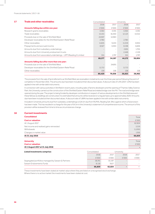| Consolidated |        |        |            |
|--------------|--------|--------|------------|
| 2018         | 2017   | 2018   | 2017       |
| £'000        | £'000  | £'000  | £'000      |
| 4.364        | 4.591  | 4,364  | 4.591      |
| 15,413       | 16,450 | 12,123 | 13,012     |
| 24,907       | 14.963 |        |            |
| 2,780        |        | 2,780  |            |
| 11.635       | 9.433  | 11,019 | 8.934      |
| 8.927        | 6.953  | 8.198  | 6,606      |
|              |        | 2.691  | 1,705      |
|              |        | 2.446  | 2,159      |
| 551          | 1,797  | 551    | 1,797      |
| 68,577       | 54,187 | 44,172 | 38,804     |
|              |        |        |            |
|              | 24,691 |        |            |
| 11,713       |        | 11,713 |            |
| 139          | 158    | 138    | 158        |
| 80,429       | 79,036 | 56,023 | 38,962     |
|              |        |        | University |

The proceeds from the sale of land referred to as Shinfield West are receivable in instalments over the three year period following the point of completion in November 2015. The amounts due have been included at their discounted values. A discount rate of 1.5% (2017: 1.0%) has been applied in line with similar debt instruments.

In connection with various activities in Shinfield in recent years, including sales of land to developers and the opening of Thames Valley Science Park, the University carried out the construction of the Shinfield Eastern Relief Road and related bridge over the M4. The road and bridge were opened during the year.The projectis being funded by developer contributions in respectof various developments in theShinfield area and these fall due as dwellings are constructed. It is estimated that amounts will be received on a regular basis up to approximately 2029. Amounts due have been included at their discounted values. A discount rate of 1.89% has been applied in line with similar debt instruments.

Included in University amounts due from subsidiary undertakings is £24.1m due from RUMAL Reading Sdn. Bhd. against which a full provision has been made. This has resulted in a charge for the year of £4.1m in the University's statement of comprehensive income. The amount of this provision will be reviewed from time to time as circumstances change.

#### **18 Current investments**

| <b>Consolidated</b>                      |                                 |      |                                 | Total   |
|------------------------------------------|---------------------------------|------|---------------------------------|---------|
| <b>Cost or valuation</b>                 |                                 |      |                                 | £'000   |
| At 1 August 2017                         |                                 |      |                                 | 62,824  |
| Net income and realised gains reinvested |                                 |      |                                 | 3.319   |
| Withdrawals                              |                                 |      |                                 | (1,200) |
| Changes in market value                  |                                 |      |                                 | 1.916   |
| At 31 July 2018                          |                                 |      |                                 | 66,859  |
|                                          |                                 |      |                                 |         |
| <b>University</b>                        |                                 |      |                                 | Total   |
| <b>Cost or valuation</b>                 |                                 |      |                                 | £'000   |
| At 1 August 2017 at 31 July 2018         |                                 |      |                                 |         |
| Listed investments comprise:             | Consolidated                    |      | University                      |         |
|                                          | 2018                            | 2017 | 2018                            | 2017    |
|                                          | the contract of the contract of |      | the contract of the contract of |         |

£'000 £'000 £'000 £'000 Segregated portfolios managed by Sarasin & Partners 58,741 55,197 - 58,741 55,197 Sarasin Endowments Funds 8,118 8,118 7627 **66,859 62,824 - -** 

These investments have been stated at market value where they are listed on a recognised stock exchange. Where there is no active market the investments have been stated at cost.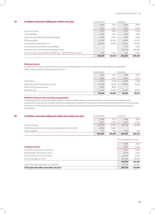## **19 Creditors: amounts falling due within one year Consolidated** University

| Creditors, announts railing uue within vile year                 | CONSONUGLEU |                          | <b>ULIIVELSILY</b> |         |
|------------------------------------------------------------------|-------------|--------------------------|--------------------|---------|
|                                                                  | 2018        | 2017                     | 2018               | 2017    |
|                                                                  | £'000       | £'000                    | £'000              | £'000   |
| Unsecured loans                                                  | 3.155       | 3.052                    | 3.155              | 3.052   |
| Trade payables                                                   | 8.192       | 7.474                    | 7.821              | 7.190   |
| Social security and other taxation payable                       | 4.010       | 3.401                    | 4,258              | 3.381   |
| Other payables                                                   | 15.590      | 20.333                   | 15.285             | 20,122  |
| Accruals and deferred income                                     | 86,159      | 76.543                   | 63,465             | 60,525  |
| Amounts due to subsidiary undertakings                           |             | $\overline{\phantom{m}}$ | 1.754              | 1.671   |
| Amounts due to University endowment trusts                       |             | $\overline{\phantom{a}}$ | 121.333            | 106.893 |
| Amounts due to associated undertakings - UPP (Reading I) Limited | 7.113       | 6,521                    | 7.113              | 6.521   |
|                                                                  | 124.219     | 117.324                  | 224.184            | 209.355 |

#### **Deferred income**

Included within accruals and deferred income are the following items of income which have been deferred until specific performance-related conditions have been met.

|                                     | 53,424       | 46,625 | 43,391     | 38,767 |
|-------------------------------------|--------------|--------|------------|--------|
| Other income                        | 15,316       | 16.516 | 14.720     | 16,017 |
| Site servicing arrangements         | 5.859        | 3.670  |            |        |
| Research grants received on account | 20.376       | 19.291 | 20.376     | 19.291 |
| Tuition fees                        | 11,873       | 7.148  | 8.295      | 3.459  |
|                                     | £'000        | £'000  | £'000      | £'000  |
|                                     | 2018         | 2017   | 2018       | 2017   |
|                                     | Consolidated |        | University |        |

#### **Deferred income on site servicing arrangements**

In recent years the University has disposed of a number of landholdings in the Shinfield area. The scale of these disposals has required the University to undertake significant obligations in respect of infrastructure development and maintenance in the local area. A proportion of the original income on disposal was deferred and is being recognised when the associated site servicing outputs are delivered. 

| 20 | Creditors: amounts falling due after more than one year      | Consolidated |         | University |                          |
|----|--------------------------------------------------------------|--------------|---------|------------|--------------------------|
|    |                                                              | 2018         | 2017    | 2018       | 2017                     |
|    |                                                              | £'000        | £'000   | £'000      | £'000                    |
|    | Unsecured Ioans                                              | 184.719      | 137.999 | 184.719    | 137999                   |
|    | Deferred income on site servicing arrangements (see note 19) | 8.081        | 10.662  |            | $\overline{\phantom{a}}$ |
|    | Other payables                                               | 253          | 368     | 253        | 228                      |
|    |                                                              | 193.053      | 149.029 | 184.972    | 138,227                  |

|                                          |         | Consolidated & University |  |  |
|------------------------------------------|---------|---------------------------|--|--|
|                                          | 2018    | 2017                      |  |  |
| <b>Analysis of loans:</b>                | £'000   | £'000                     |  |  |
| Due within one year or on demand         | 3.155   | 3.052                     |  |  |
| Due between one and two years            | 4.770   | 3.155                     |  |  |
| Due between two and five years           | 58.449  | 11.219                    |  |  |
| Due in five years or more                | 121,500 | 123,625                   |  |  |
|                                          | 187,874 | 141,051                   |  |  |
| Less: Due within one year or on demand   | (3.155) | (3.052)                   |  |  |
| Total loans due after more than one year | 184,719 | 137,999                   |  |  |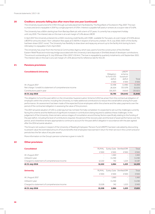## **20 Creditors: amounts falling due after more than one year (continued)**

The University issued a bond for £70m through a private placement facilitated by The Royal Bank of Scotland in May 2007. This loan is unsecured and is repayable in 2047 by a single payment of £70m. Interest is payable half yearly in arrears at a coupon rate of 5.42%.

The University has a £60m sterling loan from Barclays Bank plc with a term of 37 years. It currently has a repayment holiday until July 2019. The interest rate on this loan is at a set margin of 1.4% above LIBOR.

In April 2017 the University entered into a £50m revolving credit facility with HSBC, available for five years, at a set margin of 0.55% above LIBOR for amounts drawn. Non-utilisation fees apply at 0.1925% in respect of amounts undrawn. At 31 July 2018, £50m of this facility had been drawn (2017: none). The University has flexibility to draw down and repay any amount up to the facility limit during its term. Ultimately it is repayable in full in April 2022.

The University has a loan from the Homes & Communities Agency which was used to fund the construction of the Shinfield Eastern Relief Road and motorway bridge associated with the University's land disposals in Shinfield ahead of developer contributions. The amount outstanding at 31 July 2018 was £7.6m (2017: £10.4m). The loan is repayable by quarterly instalments until September 2021. The interest rate on this loan is at a set margin of 1.31% above the EU reference rate for the UK.

## **21 Pensions provisions**

| <b>Consolidated &amp; University</b>                       |             | UREPF      |          |
|------------------------------------------------------------|-------------|------------|----------|
|                                                            | Obligation  | scheme     |          |
|                                                            | to fund USS | (surplus)/ |          |
|                                                            | deficit     | deficit    | Total    |
|                                                            | £'000       | £'000      | £'000    |
| At 1 August 2017                                           | 32.498      | (1.498)    | 31,000   |
| Net charge / (credit) to statement of comprehensive income | 26.504      | (32, 529)  | (6.025)  |
| Contributions paid in year                                 | (26.207)    | (4.614)    | (30.821) |
| At 31 July 2018                                            | 32,795      | (38, 641)  | (5,846)  |

The obligation to fund the past deficit on the Universities Superannuation Scheme (USS) has arisen from the contractual obligation of employers within the scheme, including the University, to make additional contributions to reduce the overall deficit arising from past performance. An assessment has been made of the expected future employees within the scheme and the salary payments over the period of the contracted obligation in assessing the value of this provision.

The 2017 actuarial valuation of USS is underway but has not been formally completed. It is expected to set out the challenges currently facing the scheme and the likelihood of significant increases in contributions being required to address these challenges. In the judgement of the University, there remains various stages of consultation around the key factors specifically relating to the funding of the past deficit, including the level of contributions required, the period of the recovery plan and the level of asset performance over the period, and it therefore remains appropriate to continue to account for the past deficit obligation in accordance with the plan agreed after the 2014 actuarial valuation.

The Group's net surplus in respect of the University of Reading Employees' Pension Fund (UREPF) has been calculated by discounting to present value the estimated amount of future benefits that employees have earned in return for their service in the current and prior periods less the fair value of any plan assets.

More information on the Group's pension schemes is given in note 33.

## **22 Other provisions**

| £'000<br>$\overline{\phantom{0}}$<br>15,528 | £'000<br>1,560<br>(1,218)<br>742 | £'000<br>$\overline{\phantom{a}}$<br>$\overline{\phantom{a}}$<br>1,223 | £'000<br>1,560<br>(1,218)<br>17,493                    |
|---------------------------------------------|----------------------------------|------------------------------------------------------------------------|--------------------------------------------------------|
|                                             |                                  |                                                                        |                                                        |
|                                             |                                  |                                                                        |                                                        |
|                                             |                                  |                                                                        |                                                        |
|                                             |                                  |                                                                        |                                                        |
| <b>RUMAL</b>                                |                                  |                                                                        | Total                                                  |
|                                             |                                  |                                                                        |                                                        |
| 12,222                                      | 1,084                            | 1,223                                                                  | 14,529                                                 |
| 12,222                                      | 742                              | 1,223                                                                  | 14,187                                                 |
|                                             | (1,218)                          | $\overline{\phantom{a}}$                                               | (1,218)                                                |
|                                             | 1,560                            | $\qquad \qquad =$                                                      | 1,560                                                  |
| £'000                                       | £'000                            | £'000                                                                  | £'000                                                  |
| <b>RUMAL</b>                                |                                  |                                                                        | Total                                                  |
|                                             |                                  |                                                                        | Earley Gate Shinfield ERR<br>Earley Gate Shinfield ERR |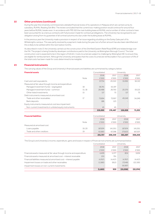## **22 Other provisions (continued)**

During the year the University commissioned a detailed financial review of its operations in Malaysia which are carried out by its subsidiary, RUMAL Reading Sdn Bhd. The review concluded that the current loss-making position would continue for around four years before RUMAL breaks even. In accordance with FRS 102 the main building lease at RUMAL and a number of other contracts have been accounted for as onerous contracts with full provision made for contractual obligations. The University has recognised its own obligation arising from its guarantee of all contractual amounts due under the building lease at RUMAL.

In the previous year the University made a provision in respect of an issue regarding a building on the Earley Gate part of its Whiteknights campus. This was partly resolved by a payment made during the year, but a further amount has also been identified and this is likely to be settled within the next twelve months.

As described in note 17, the University carried out the construction of the Shinfield Eastern Relief Road (ERR) and related bridge over the M4. The project is being funded by developer contributions paid to the University via Wokingham Borough Council. The total construction cost is expected to be in the region of £24.4m. Costs incurred are subject to challenge by Wokingham BC to ensure they are eligible for reimbursement. Although the University anticipates that the costs incurred are reimbursable in full, a provision of 5% of the total costs has been made for costs determined to be ineligible.

## **23 Financial instruments**

The carrying values of the Group and University's financial assets and liabilities are summarised by category below:

| <b>Financial assets</b>                                |       | Consolidated |         | University |        |
|--------------------------------------------------------|-------|--------------|---------|------------|--------|
|                                                        |       | 2018         | 2017    | 2018       | 2017   |
|                                                        | Note  | £'000        | £'000   | £'000      | £'000  |
| Cash and cash equivalents                              |       | 57.734       | 20.322  | 55.992     | 18,110 |
| Measured at fair value through income and expenditure  |       |              |         |            |        |
| Managed investment funds - segregated                  | 18    | 58.741       | 55.197  |            |        |
| Managed investment funds - common                      | 15.18 | 28.488       | 26.750  | 20,370     | 19.123 |
| Other listed investments                               | 15    | 117          | 73      | 117        | 73     |
| Debt instruments measured at amortised cost            |       |              |         |            |        |
| Trade and other receivables                            | 17    | 73.694       | 73.957  | 49,549     | 34.249 |
| Bank deposits                                          |       | 186          | 123     |            |        |
| Equity instruments measured at cost less impairment    |       |              |         |            |        |
| Non-current investments in unlisted equity instruments |       | 45           | 45      |            |        |
|                                                        |       | 219,005      | 176,467 | 126,028    | 71,555 |

| <b>Financial liabilities</b> |       | Consolidated |         | University |         |
|------------------------------|-------|--------------|---------|------------|---------|
|                              |       | 2018         | 2017    | 2018       | 2017    |
|                              | Note  | £'000        | £'000   | £'000      | £'000   |
| Measured at amortised cost   |       |              |         |            |         |
| Loans payable                | 19.20 | 187.874      | 141.051 | 187.874    | 141,051 |
| Trade and other creditors    | 19    | 63.883       | 67.298  | 173.633    | 167,207 |
|                              |       | 251,757      | 208.349 | 361,507    | 308,258 |

The Group's and University's income, expenditure, gains and losses in respect of financial instruments are summarised below:

|                                                                        |         |                          | --------- |           |
|------------------------------------------------------------------------|---------|--------------------------|-----------|-----------|
|                                                                        | 2018    | 2017                     | 2018      | 2017      |
|                                                                        | £'000   | £'000                    | £'000     | £'000     |
| Financial assets measured at fair value through income and expenditure | 4.409   | 5.377                    | 804       | 3.636     |
| Financial assets measured at amortised cost-interest receivable        | 253     | 791                      |           |           |
| Financial liabilities measured at amortised cost - interest payable    | (4,767) | (4.417)                  | (4,767)   | (4, 417)  |
| Impairment losses on trade and other receivables                       | (1,580) | (812)                    | (7,048)   | (22.193)  |
| Impairment losses on non-current investments                           |         | $\overline{\phantom{0}}$ | (8.087)   |           |
|                                                                        | (1,685) | 939                      | (19.098)  | (22, 974) |

Consolidated University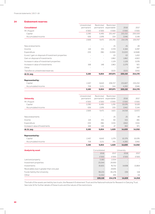## Financial statements | 2017–18

## **24 Endowment reserves**

|                                                         | Unrestricted              | Restricted               | Restricted                         |            |         |
|---------------------------------------------------------|---------------------------|--------------------------|------------------------------------|------------|---------|
| <b>Consolidated</b>                                     | permanent                 |                          | permanent expendable               | 2018       | 2017    |
| At 1 August                                             | £'000                     | £'000                    | £'000                              | £'000      | £'000   |
| Capital                                                 | 2,290                     | 6,495                    | 201,447                            | 210,232    | 200,559 |
| Accumulated income                                      | 636                       | 2,976                    | 334                                | 3,946      | 3,148   |
|                                                         | 2,926                     | 9.471                    | 201.781                            | 214,178    | 203,707 |
| New endowments                                          | $\overline{\phantom{a}}$  | $\overline{\phantom{a}}$ | 25                                 | 25         | 49      |
| Income                                                  | 124                       | 331                      | 3,729                              | 4,184      | 5.097   |
| Expenditure                                             | (33)                      | (96)                     | (3,093)                            | (3,222)    | (4,948) |
| (Loss) / gain on disposal of investment properties      |                           | $\overline{\phantom{0}}$ | (2)                                | (2)        | 1.432   |
| Gain on disposal of investments                         |                           | ÷                        | 1,862                              | 1,862      | 4,822   |
| Increase in value of investment properties              |                           | ÷,                       | 1.129                              | 1,129      | 3,076   |
| Increase in value of investments                        | 168                       | 148                      | 1,963                              | 2,279      | 921     |
| Other                                                   |                           |                          |                                    |            | 567     |
| Transfers to unrestricted reserves                      | $\overline{a}$            | ÷,                       | (323)                              | (323)      | (545)   |
| At 31 July                                              | 3,185                     | 9,854                    | 207,071                            | 220,110    | 214,178 |
| <b>Represented by:</b>                                  |                           |                          |                                    |            |         |
| Capital                                                 | 2,457                     | 6.643                    | 206,727                            | 215,827    | 210,232 |
| Accumulated income                                      | 728                       | 3,211                    | 344                                | 4,283      | 3,946   |
|                                                         | 3,185                     | 9,854                    | 207,071                            | 220,110    | 214,178 |
|                                                         |                           |                          |                                    |            |         |
| <b>University</b>                                       | Unrestricted<br>permanent | Restricted               | Restricted<br>permanent expendable | 2018       | 2017    |
| At 1 August                                             | £'000                     | £'000                    | £'000                              | £'000      | £'000   |
| Capital                                                 | 2,290                     | 6,495                    | 1,291                              | 10,076     | 9,528   |
| Accumulated income                                      | 636                       | 2,976                    | 330                                | 3,942      | 3,144   |
|                                                         | 2,926                     | 9,471                    | 1,621                              | 14,018     | 12,672  |
| New endowments                                          |                           |                          | 25                                 | 25         | 49      |
| Income                                                  | 124                       | 331                      | 60                                 | 515        | 481     |
| Expenditure                                             | (33)                      | (96)                     | (133)                              | (262)      | (155)   |
| Increase in value of investments                        | 168                       | 148                      | 47                                 | 363        | 971     |
| At 31 July                                              | 3,185                     | 9,854                    | 1,620                              | 14,659     | 14,018  |
|                                                         |                           |                          |                                    |            |         |
| <b>Represented by:</b><br>Capital                       | 2,457                     | 6,643                    | 1,279                              | 10,379     | 10,076  |
| Accumulated income                                      | 728                       | 3,211                    | 341                                | 4,280      | 3,942   |
|                                                         | 3,185                     | 9,854                    | 1,620                              | 14,659     | 14,018  |
|                                                         |                           |                          |                                    |            |         |
| <b>Analysis by asset</b>                                |                           | Consolidated             |                                    | University |         |
|                                                         |                           | 2018                     | 2017                               | 2018       | 2017    |
|                                                         |                           | £'000                    | £'000                              | £'000      | £'000   |
| Land and property                                       |                           | 3,180                    | 2,054                              |            |         |
| Investment properties                                   |                           | 25,044                   | 24,930                             |            |         |
| Investments<br>Receivables due in greater than one year |                           | 81,601                   | 76,732                             | 14,698     | 13,864  |
|                                                         |                           |                          | 24,691                             |            |         |

The bulk of the assets are held by two trusts, the Research Endowment Trust and the National Institute for Research in Dairying Trust. See note 32 for further details of these trusts and the nature of the restrictions.

Funds held by the University 158<br>
Other 11,052 495 (39) 158<br>
(4) Other (4) (11,052 495 - (4)

**220,110 214,178 14,659 14,018**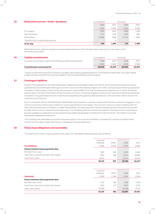## **25 Restricted reserves – funds / donations Consolidated** University 2018 2017 2018 2017 £'000 £'000 £'000 £'000 At 1 August 1,933 1,624 1,498 1,193 New donations 360 and the set of the set of the set of the set of the set of the set of the set of the set of t Expenditure (2,930) (786) (2,715) (555) Transfers from unrestricted reserves and the state of the state of the state of the state of the state of the state of the state of the state of the state of the state of the state of the state of the state of the state of **At 31 July 784 1,993 173 1,498**

Restricted income relates to donations received where the terms of the donation place restrictions on the way in which the funds can be spent.

| 26 | <b>Capital commitments</b>                                         | Consolidated |        | University |        |
|----|--------------------------------------------------------------------|--------------|--------|------------|--------|
|    | Provision has not been made for the following capital commitments: | 2018         | 2017   | 2018       | 2017   |
|    |                                                                    | £'000        | f'000  | £'000      | £'000  |
|    | <b>Commitments contracted for</b>                                  | 60.859       | 22.079 | 60.859     | 22.079 |

These commitments arise from contracts included in the ongoing capital programme. At the balance sheet date, two major capital projects (Library refurbishment and new Health & Life Sciences building) were in progress.

#### **27 Contingent liabilities**

As part of its development of the Shinfield Eastern Relief Road and related bridge over the M4, the University provided performance guarantee bonds to Wokingham Borough Council for £12.2m and the Highways Agency for £3.8m. During the year, following substantial completion of the projects, these bonds were reduced in value by 80% in line with the development agreement, to £2.4m and £0.8m respectively. In the event of the failure of the University to honour contractual obligations during a two-year period following substantial completion, the guaranteed amounts would become payable by the guarantor, Barclays Bank plc, who would then seek to recover the costs from the University.

Also in connection with the Shinfield Eastern Relief Road, the University is currently in dispute with the main contractor engaged to carry out the construction of the road in relation to certain specifications in the design. The contractor has put in claims totalling £7.6m for which the University does not believe it is liable. Nevertheless, a prudent approach has been adopted and the University has provided for 50% of this amount in these financial statements. The remaining 50% has not been provided for. All amounts which eventually do become payable are expected to be recovered through additional developer contributions to the University. The matter is due to be resolved by independent arbitration.

The University has undertaken to provide continued support to its trusts and subsidiary companies for a period of at least twelve months from the date of approval of those undertakings' financial statements.

## **28 Future lease obligations and receivables**

The total future minimum lease payments due under non-cancellable operating leases are as follows:

|                                              | 26,121                | 627                      | 26,748 | 64,137 |
|----------------------------------------------|-----------------------|--------------------------|--------|--------|
| Later than 5 years                           | 16,534                | $\overline{\phantom{0}}$ | 16.534 | 35,705 |
| Later than 1 year and not later than 5 years | 7.644                 | 369                      | 8.013  | 24.892 |
| Not later than 1 year                        | 1.943                 | 258                      | 2.201  | 3.540  |
| Future minimum lease payments due:           |                       |                          |        |        |
| <b>Consolidated</b>                          | £'000                 | £'000                    | £'000  | £'000  |
|                                              | Land and<br>buildings | Other                    | 2018   | 2017   |
|                                              |                       |                          |        |        |

|                                              | Land and<br>buildings | Other                    |        |        |
|----------------------------------------------|-----------------------|--------------------------|--------|--------|
|                                              |                       |                          | 2018   | 2017   |
| <b>University</b>                            | £'000                 | £'000                    | £'000  | £'000  |
| Future minimum lease payments due:           |                       |                          |        |        |
| Not later than 1 year                        | 1.411                 | 185                      | 1,596  | 1.579  |
| Later than 1 year and not later than 5 years | 5.335                 | 277                      | 5.612  | 5.722  |
| Later than 5 years                           | 16.399                | $\overline{\phantom{a}}$ | 16.399 | 17.710 |
|                                              | 23,145                | 462                      | 23,607 | 25,011 |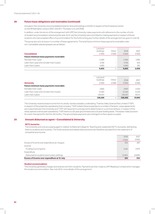## **28 Future lease obligations and receivables (continued)**

Included in the University and consolidated totals for land and buildings is £23.0m in respect of the Enterprise Centre on the Whiteknights campus (2017: £24.3m). The lease runs until 2036.

In addition, under the terms of the arrangement with UPP, the University makes payments with reference to the number of units of student accommodation sold during the year. At 31 July the University was committed to making payments in respect of those students who had accepted offers of accommodation for the forthcoming year. Further details of the arrangement are given in note 16.

The group also acts as lessor in a number of lease agreements. The total future minimum lease payments receivable under non-cancellable operating leases are as follows:

|                                              | Land and  |                          |       |       |
|----------------------------------------------|-----------|--------------------------|-------|-------|
|                                              | buildings | Other                    | 2018  | 2017  |
| <b>Consolidated</b>                          | £'000     | £'000                    | £'000 | £'000 |
| Future minimum lease payments receivable:    |           |                          |       |       |
| Not later than 1 year                        | 2.584     | $\overline{\phantom{a}}$ | 2.584 | 1.981 |
| Later than 1 year and not later than 5 years | 2.756     | $\overline{\phantom{a}}$ | 2.756 | 614   |
| Later than 5 years                           | 4.485     | $\overline{\phantom{0}}$ | 4.485 | 361   |
|                                              | 9,825     | ٠                        | 9,825 | 2,956 |

|                                              | Land and  |                          |         |        |
|----------------------------------------------|-----------|--------------------------|---------|--------|
|                                              | buildings | Other                    | 2018    | 2017   |
| <b>University</b>                            | £'000     | £'000                    | £'000   | £'000  |
| Future minimum lease payments receivable:    |           |                          |         |        |
| Not later than 1 year                        | 2.665     | $\qquad \qquad =$        | 2,665   | 2.422  |
| Later than 1 year and not later than 5 years | 12.164    | -                        | 12.164  | 6.102  |
| Later than 5 years                           | 143.437   | $\overline{\phantom{a}}$ | 143.437 | 19.171 |
|                                              | 158,266   | $\overline{\phantom{a}}$ | 158,266 | 27,695 |

The University receives lease income from its wholly-owned subsidiary undertaking, Thames Valley Science Park Limited (TVSP), in respect of the properties operated by that company. TVSP sublets these properties to a number of tenants. Lease agreements are in place between the University and TVSP with lease terms and payments determined on a commercial basis. In respect of the newly opened science park operated by TVSP, there is a 125 year ground lease and a 25 year building lease. The leases make provision for a rent-free period for the first 18 months. The ground lease payments are contingent on floor space occupied.

## **29 Amount disbursed as agent – Consolidated & University**

#### **NCTL bursaries**

The University acts only as a paying agent in relation to National College for Teaching and Leadership (NCTL) bursaries, distributing them to students and nurseries. The funds received and related disbursements are therefore excluded from the statement of comprehensive income.

| Excess of income over expenditure at 31 July  | 154     | 334     |
|-----------------------------------------------|---------|---------|
| Disbursed to students and nursery settings    | (3,361) | (2.926) |
| Expenditure                                   |         |         |
| <b>Funding Council grants</b>                 | 3.181   | 2.973   |
| Income                                        |         |         |
| Excess of income over expenditure at 1 August | 334     | 287     |
|                                               | £'000   | £'000   |
|                                               | 2018    | 2017    |

#### **Student accommodation**

The University generates charges and receives rent from students. Payments are then made to UPP (Reading I) Limited which manages the student accommodation. See note 16 for more details of this arrangement.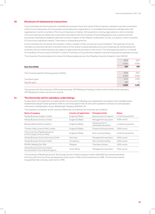## **30 Disclosure of related party transactions**

Council members are the trustees for charitable law purposes. Due to the nature of the University's operations and the composition of the Council, being drawn from local public and private sector organisations, it is inevitable that transactions will take place with organisations in which a member of the Council may have an interest. All transactions involving organisations in which a member of Council may have an interest are conducted in accordance with the University's Financial Regulations and usual procurement procedures. Expenditure totalling £2,220 was incurred in respect of Text Matters Limited (2017: £2,112), a company in which a member of Council has a significant interest. There were no outstanding amounts.

Council members do not receive remuneration or fees in respect of their services as Council members. The expenses of Council members incurred and claimed in the performance of their duties including attendance at Council meetings are reimbursed by the University. All such reimbursements are subject to approval by the Secretary to the Council. The total expenses paid to or on behalf of 3 members of Council was £1,274 (2017: £1,410 to 4 members of Council) which related to travel and subsistence expenses incurred. The University's financial statements include the following balances due from Reading University Students' Union (RUSU):

|                                                   | 2018  | 2017  |
|---------------------------------------------------|-------|-------|
|                                                   | £'000 | £'000 |
| <b>Due from RUSU</b>                              | 165   | 189   |
|                                                   |       |       |
| The University paid the following grants to RUSU: | 2018  | 2017  |
|                                                   | £'000 | £'000 |
| Core block grant                                  | 1.413 | 1,250 |
| Specific grant                                    | 286   | 11    |
|                                                   | 1,699 | 1,261 |

Transactions with the University's 20% owned associate, UPP (Reading I) Holdings Limited, and its wholly owned subsidiary, UPP (Reading I) Limited, are set out in note 16.

### **31 The University and its subsidiary undertakings**

As described in the statement on public benefit, the University of Reading is an independent corporation with charitable status established by Royal Charter granted in 1926. It is primarily based in the UK with some operations overseas. Its principal place of business is Whiteknights House, Whiteknights, Reading, RG6 6UR, UK.

The subsidiary companies, wholly-owned or effectively controlled by the University, are as follows:

| <b>Name of company</b>                                                 | <b>Country of registration</b> | <b>Principal activity</b>               | <b>Status</b>        |
|------------------------------------------------------------------------|--------------------------------|-----------------------------------------|----------------------|
| Henley Business Angels Limited                                         | England & Wales                | Business launch support                 | Limited by quarantee |
| Henley Business School Limited                                         | England & Wales                | Management education                    | 100% owned           |
| Reading Real Estate Foundation                                         | England & Wales                | Advancement of<br>real estate education | Limited by quarantee |
| Thames Valley Science Park Limited                                     | England & Wales                | Property letting business               | 100% owned           |
| The University of Reading Science<br>& Technology Centre Limited       | England & Wales                | Not currently trading                   | Limited by quarantee |
| Henley Business School Germany GmbH                                    | Germany                        | Management education                    | 100% owned           |
| Henley Business School Limited                                         | Hong Kong                      | Not currently trading                   | 100% owned           |
| RUMAL Reading Sdn. Bhd.                                                | Malaysia                       | Overseas campus                         | 100% owned           |
| Henley Business School Limited<br>(Incorporated in the United Kingdom) | South Africa                   | Management education                    | 100% owned           |

The University of Reading Science & Technology Centre Limited (company number 02501592) has claimed exemption from the audit of its own financial statements under section 479A of the Companies Act 2006. The University intends to guarantee that company under section 479C.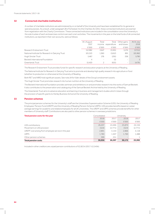### **32 Connected charitable institutions**

A number of charitable institutions are administered by or on behalf of the University and have been established for its general or special purposes. As a result, under paragraph 28 of Schedule 3 to the Charities Act 2011, these connected institutions are exempt from registration with the Charity Commission. These connected institutions are included in the consolidation since the University is the sole trustee of each and exercises control over each one's activities. The movements in the year on the total funds of all connected institutions, as reported in their own accounts, were as follows:

|                                                   | At 1 August | Total | Total              | Other gains | At 31 July |
|---------------------------------------------------|-------------|-------|--------------------|-------------|------------|
|                                                   | 2017        |       | income expenditure | and losses  | 2018       |
|                                                   | £'000       | £'000 | £'000              | £'000       | £'000      |
| Research Endowment Trust                          | 112,982     | 2.647 | (3.591)            | 5.274       | 117,312    |
| National Institute for Research in Dairying Trust | 101,323     | 1.360 | (1,612)            | 891         | 101,962    |
| <b>Hugh Sinclair Trust</b>                        | 5.467       | 276   | (291)              | 338         | 5.790      |
| Beckett International Foundation                  | 4           | -     | (1)                | -           | 3          |
| Greenlands Trust                                  | 15.420      |       | (631)              | -           | 14.791     |

The Research Endowment Trust provides funds for specific research and education projects at the University of Reading.

The National Institute for Research in Dairying Trust aims to promote and develop high quality research into agriculture or food (whether its production or otherwise) at the University of Reading.

Both RET and NIRD hold significant assets. See note 24 for fuller details of the Group's endowment assets.

The Hugh Sinclair Trust promotes research into human nutrition at the University of Reading.

The Beckett International Foundation provides seminars and exhibitions on and promotes research into the works of Samuel Beckett. It also contributes to the preservation and cataloguing of the Samuel Beckett Archive held by the University of Reading.

The Greenlands Trust aims to advance education and learning in business and management studies which it does through the provision of specific grants to Henley Business School at the University of Reading.

## **33 Pension schemes**

The principal pension schemes for the University's staff are the Universities Superannuation Scheme (USS), the University of Reading Employees' Pension Fund (UREPF) and the University of Reading Pension Scheme (URPS). USS provides benefits based on career average earnings for academic and related employees for all UK universities. The UREPF and URPS schemes provide benefits for other members of University staff. Contributions are also paid to other pension schemes in overseas jurisdictions.

| Total pension costs for the year                     | Consolidated |         | University |         |
|------------------------------------------------------|--------------|---------|------------|---------|
|                                                      | 2018         | 2017    | 2018       | 2017    |
|                                                      | £'000        | £'000   | £'000      | £'000   |
| USS contributions                                    | 26.207       | 24.466  | 25,870     | 24.156  |
| Movement on USS provision                            | (324)        | (2.771) | (324)      | (2.771) |
| UREPF cost arising from employee service in the year | 2.891        | 3.144   | 2,866      | 3.118   |
| <b>URPS</b>                                          | 1,783        | 1.507   | 1,760      | 1,488   |
| Other pension schemes                                | 399          | 251     |            |         |
| <b>Total pension costs</b>                           | 30,956       | 26.597  | 30,172     | 25,992  |

Included in other creditors are unpaid pension contributions of £2,821k (2017: £2,545k).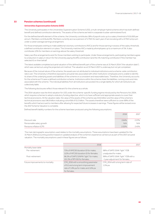#### **Universities Superannuation Scheme (USS)**

The University participates in the Universities Superannuation Scheme (USS), a multi-employer hybrid scheme which has both defined benefit and defined contribution elements. The assets of the scheme are held in a separate trustee-administered fund.

For the defined benefit element of the scheme, the University contributes 18% of payroll costs up to a salary threshold of £55,000 per annum. Members contribute 8%. Members currently accrue a pension of 1/75th for each year of service along with a 3/75th lump sum under a career average earnings arrangement.

For those employees wishing to make additional voluntary contributions (AVCs) and for those earning in excess of the salary threshold, a defined contribution element is in place. The University matches AVCs made by all employees up to a maximum of 1%. It also contributes 12% for members on earnings above the salary threshold.

Salary sacrifice arrangements exist for those members wishing to participate. Under these arrangements, participating members agree to a reduction in salary in return for the University paying the 8% contribution (and the 1% matching contribution if the member has selected it) on their behalf.

The latest available completed actuarial valuation of the defined benefit part of the scheme was at 31 March 2014 ("the valuation date"), which was carried out using the projected unit method. The valuation as at 31 March 2017 is underway but not yet completed.

Because of the mutual nature of the scheme, the assets are not attributed to individual institutions and a scheme-wide contribution rate is set. The University is therefore exposed to actuarial risks associated with other institutions' employees and is unable to identify its share of the underlying assets and liabilities of the scheme on a consistent and reasonable basis. Therefore, the University accounts for the scheme as if it were a defined contribution scheme. Institutions within the scheme share the liabilities, running costs and risks associated with the scheme. The individual liabilities from all institutions are pooled into a single liability for which all institutions are collectively liable.

The following disclosures reflect those relevant for the scheme as a whole.

The 2014 valuation was the third valuation for USS under the scheme-specific funding regime introduced by the Pensions Act 2004, which requires schemes to adopt a statutory funding objective, which is to have sufficient and appropriate assets to cover their technical provisions. At the valuation date, the value of the assets of the scheme was £41.6 billion and the value of the scheme's technical provisions was £46.9 billion indicating a shortfall of £5.3 billion. The assets therefore were sufficient to cover 89% of the benefits which had accrued to members after allowing for expected future increases in earnings. These figures will be revised once the 2017 Scheme Valuation is complete. 

Defined benefit liability numbers for the scheme have been produced using the following assumptions:

|                           | 2018  | 2017  |
|---------------------------|-------|-------|
|                           |       |       |
| Discount rate             | 2.64% | 2.57% |
| Pensionable salary growth | N/A   | N/A   |
| Pensions inflation (CPI)  | 2.02% | 2.41% |

The main demographic assumption used relates to the mortality assumptions. These assumptions have been updated for the 31 March 2018 accounting position based on updated analysis of the scheme's experience carried out as part of the 2017 actuarial valuation. The mortality assumptions used in these figures are as follows:

|                                  | 2018                                    |                                     | 2017 |
|----------------------------------|-----------------------------------------|-------------------------------------|------|
| Mortality base table             |                                         |                                     |      |
| Pre-retirement                   | 71% of AMC00 (duration 0) for males:    | 98% of SAPS S1NA "light" YOB        |      |
|                                  | 112% of AFC00 (duration 0) for females. | unadjusted for males.               |      |
| Post-retirement                  | 96.5% of SAPS S1NMA "light" for males;  | 99% of SAPS S1NA "light" YOB with a |      |
|                                  | 101.3% of RFV00 for females.            | -1 year adjustment for females.     |      |
| Future improvements to mortality | CMI_2016 with a smoothing parameter     | CMI_2014 with a long term rate of   |      |
|                                  | of 8.5 and a long term improvement      | 1.5% pa.                            |      |
|                                  | rate of 1.8% pa for males and 1.6% pa   |                                     |      |
|                                  | for females.                            |                                     |      |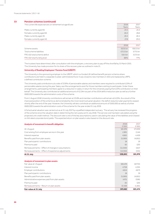| The current life expectancies on retirement at age 65 are: | 2018     | 2017     |
|------------------------------------------------------------|----------|----------|
|                                                            | Years    | Years    |
| Males currently aged 65                                    | 24.5     | 24.4     |
| Females currently aged 65                                  | 26.0     | 26.6     |
| Males currently aged 45                                    | 26.5     | 26.5     |
| Females currently aged 45                                  | 27.8     | 29.0     |
|                                                            |          |          |
|                                                            | 2018     | 2017     |
| Scheme assets                                              | £63.6 bn | £60.0 bn |
| Total scheme liabilities                                   | £72.0 bn | £77.5 bn |
| FRS 102 total scheme deficit                               | E8.4bn   | £17.5 bn |
| FRS 102 total funding level                                | 88%      | 77%      |
|                                                            |          |          |

The trustees have determined, after consultation with the employers, a recovery plan to pay off the shortfall by 31 March 2031. The University has made provision for its share of the recovery plan as outlined in note 21.

#### **University of Reading Employees' Pension Fund (UREPF)**

The University is the sponsoring employer to the UREPF, which is a funded UK defined benefit pension scheme where contributions are held in a separate trustee-administered fund. It was closed to new members in 2011 and replaced by URPS, a defined contribution scheme.

The University paid contributions at a rate of 23.8% of pensionable salaries and members were required to contribute 6.25% of pensionable salaries during the year. Salary sacrifice arrangements exist for those members wishing to participate. Under these arrangements, participating members agree to a reduction in salary in return for the University paying the 6.25% contribution on their behalf. The University also contributed an additional amount of £2.24m as part of the 2014 deficit reduction plan as well as a further £600,000 towards the administration costs of the scheme.

From 1 August 2018 University contributions will remain at 23.8% and member contributions will remain at 6.25%. As a result of the improved position of the scheme as demonstrated by the most recent actuarial valuation, the deficit reduction plan payments ceased shortly after the end of the year. However, the University will also contribute an additional amount of £500,000 as well as a further £600,000 towards the administration costs of the scheme for the year ended 31 July 2019.

A full actuarial valuation was carried out as at 31 July 2017 by a qualified independent actuary. The actuary has reviewed the progress of the scheme since the valuation date in determining the net surplus at 31 July 2018. The service cost has been calculated using the projected unit credit method. The discount rate is one of the key assumptions used in calculating the value of the liabilities and is based on AA rated corporate bond yields. The expected return on plan assets is also based on the discount rate.

| Analysis of movement in benefit obligation        | 2018     | 2017    |
|---------------------------------------------------|----------|---------|
|                                                   | £'000    | £'000   |
| At 1 August                                       | 181,976  | 173,939 |
| Cost arising from employee service in the year    | 2,891    | 3.144   |
| Interest expense                                  | 4.665    | 4.459   |
| Benefits paid from plan assets                    | (5.069)  | (4,851) |
| Plan participants' contributions                  | 18       | 19      |
| Premiums paid                                     | (6)      | (20)    |
| Remeasurements – Effect of changes in assumptions | (11.040) | 5,617   |
| Remeasurements - Effect of experience adjustments | (14.594) | (331)   |
| At 31 July                                        | 158,841  | 181,976 |

#### **Analysis of movement in plan assets**

| Fair value at 31 July                         | 197,482 | 183,474 |
|-----------------------------------------------|---------|---------|
| Remeasurements - Return on plan assets        | 10,168  | 11,851  |
| Premiums paid                                 | (6)     | (20)    |
| Administrative expenses paid from plan assets | (475)   | (306)   |
| Benefits paid from plan assets                | (5.069) | (4,851) |
| Plan participants' contributions              | 18      | 19      |
| Employer contributions                        | 4.614   | 4.673   |
| Interest income                               | 4.758   | 4.355   |
| Fair value at 1 August                        | 183.474 | 167.753 |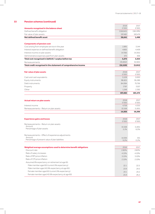|                                                                    | 2018          | 2017          |
|--------------------------------------------------------------------|---------------|---------------|
| Amounts recognised in the balance sheet                            | £'000         | £'000         |
| Defined benefit obligation                                         | (158, 841)    | (181, 976)    |
| Fair value of plan assets                                          | 197,482       | 183,474       |
| Net defined benefit asset                                          | 38,641        | 1,498         |
|                                                                    |               |               |
| <b>Components of pension cost</b>                                  |               |               |
| Cost arising from employee service in the year                     | 2,891         | 3.144         |
| Interest expense on defined benefit obligation                     | 4,665         | 4,459         |
| Interest income on plan assets                                     | (4,758)       | (4,355)       |
| Administrative expenses paid from plan assets                      | 475           | 306           |
| Total cost recognised in (deficit) / surplus before tax            | 3,273         | 3,554         |
| Remeasurements                                                     | (35,802)      | (6, 565)      |
| Total credit recognised in the statement of comprehensive income   | (32, 529)     | (3,011)       |
|                                                                    |               |               |
| <b>Fair value of plan assets</b>                                   | 2018          | 2017          |
|                                                                    | £'000         | £'000         |
| Cash and cash equivalents                                          | 5.528         | 3,000         |
| Equity instruments                                                 | 98,825        | 95,289        |
| Debt instruments                                                   | 84,084        | 75,756        |
| Property                                                           | 7,797         | 7.037         |
| Other                                                              | 1,248         | 2,392         |
|                                                                    | 197,482       | 183,474       |
|                                                                    |               |               |
|                                                                    |               |               |
| <b>Actual return on plan assets</b>                                | 2018<br>£'000 | 2017<br>£'000 |
| Interest income                                                    | 4,758         | 4,355         |
| Remeasurements - Return on plan assets                             | 10,168        | 11,851        |
|                                                                    | 14,926        | 16,206        |
|                                                                    |               |               |
|                                                                    |               |               |
| <b>Experience gains and losses</b>                                 | 2018<br>£'000 | 2017<br>£'000 |
| Remeasurements - Return on plan assets                             |               |               |
| Amount                                                             | 10,168        | 11,851        |
| Percentage of plan assets                                          | 5.1%          | 6.5%          |
|                                                                    |               |               |
| Remeasurements - Effect of experience adjustments                  |               |               |
| Amount<br>Percentage of present value of plan liabilities          | 14,594        | 331           |
|                                                                    | 9.2%          | 0.2%          |
|                                                                    |               |               |
| Weighted average assumptions used to determine benefit obligations | 2018          | 2017          |
| Discount rate                                                      | 2.85%         | 2.60%         |
| Rate of salary increases                                           | 4.15%         | 4.10%         |
| Rate of RPI price inflation                                        | 3.15%         | 3.10%         |
| Rate of CPI price inflation                                        | 2.15%         | 2.10%         |
| Assumed life expectancy on retirement at age 65:                   |               |               |
| Male member aged 65 (current life expectancy)                      | 22.1          | 22.5          |
| Male member aged 45 (life expectancy at age 65)                    | 23.9          | 24.5          |
| Female member aged 65 (current life expectancy)                    | 24.1          | 24.2          |
| Female member aged 45 (life expectancy at age 65)                  | 25.9          | 26.2          |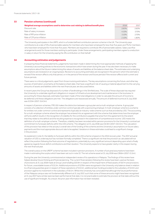| Weighted average assumptions used to determine cost relating to defined benefit plans | 2018  | 2017  |
|---------------------------------------------------------------------------------------|-------|-------|
| Discount rate                                                                         | 2.60% | 2.60% |
| Rate of salary increases                                                              | 4.10% | 3.70% |
| Rate of RPI price inflation                                                           | 3.10% | 270%  |
| Rate of CPI price inflation                                                           | 2.10% | 1.80% |

The University participates in the URPS, which is a funded defined contribution pension scheme in the UK. The University pays contributions at a rate of 5% of pensionable salaries for members who have been employed for less than five years and 7% for members who have been employed for more than five years. Members are required to contribute 4% of pensionable salaries. Salary sacrifice arrangements exist for those members wishing to participate. Under these arrangements, participating members agree to a reduction in salary in return for the University paying the 4% contribution on their behalf.

#### **34 Accounting estimates and judgements**

In preparing these financial statements, judgements have been made in determining the most appropriate methods of applying the University's accounting policies to the economic transactions which have arisen during the year. It has also been necessary to make assumptions about the future in determining the values of assets and liabilities at the balance sheet date. The estimates and underlying assumptions are reviewed on an ongoing basis. Revisions to accounting estimates are recognised in the period in which the estimate is revised if the revision affects only that period, or in the period of the revision and future periods if the revision affects both current and future periods.

There were no critical judgements, apart from those involving estimations. The key assumptions concerning the future, and other key sources of estimation uncertainty at the balance sheet date, that have a significant risk of causing a material adjustment to the carrying amounts of assets and liabilities within the next financial year, are discussed below.

In recent years the Group has disposed of a number of landholdings in the Shinfield area. The scale of these disposals has required the University to undertake significant obligations in respect of infrastructure development and maintenance in the local area. In accounting for these disposals, estimates have been made of the total obligations in order to calculate the amount of income to be deferred until these obligations are met. The obligations are reassessed annually. The amount of deferred income at 31 July 2018 was £13.9m (2017: £14.3m).

In respect of pension schemes, FRS 102 makes the distinction between a group plan and a multi-employer scheme. A group plan consists of a collection of entities under common control typically with a sponsoring employer. A multi-employer scheme is a scheme for entities not under common control and represents (typically) an industry-wide scheme such as that provided by USS. The accounting for a multi-employer scheme where the employer has entered into an agreement with the scheme that determines how the employer will fund a deficit results in the recognition of a liability for the contributions payable that arise from the agreement (to the extent that they relate to the deficit) and the resulting expense is recognised in the statement of comprehensive income. USS meets the definition of a multi-employer scheme. Therefore, a liability has been recorded within pension provisions for the University's contractual commitment to fund past deficits within the USS scheme. The obligation at 31 July 2018 was £32.8m (2017: £32.5m). The calculation of this provision has relied on the actuary's overall view of the funding of the scheme and the University's assumptions on future salary payments and the most appropriate discount rate to be applied. Variations in these estimates could lead to a significant change in the provision.

As explained in note 21, the liability to fund past deficits within the USS scheme is based on the 2014 recovery plan. The 2017 actuarial valuation of USS is underway but has not been formally completed. There is a significant risk that the provision as calculated will not reflect the position following the final outcome of negotiations, potentially by a very significant amount depending upon what is finally agreed as regards future deficit contributions and their duration. The University expects to have greater clarity in this respect during the next financial year.

The overall surplus on the UREPF scheme has been included in pension provisions. A number of actuarial assumptions have been made in estimating the surplus which have been set out in note 33. The net scheme asset at 31 July 2018 was £38.6m (2017: £1.5m).

During the year the University commissioned an independent review of its operations in Malaysia. The findings of this review have helped develop future thinking and financial planning. The current financial plans following this review have been used as the basis of provisions at 31 July 2018 made at Group Level totalling £20.9m in respect of the impairment of fixed assets of £8.7m and provisions for future, unavoidable losses of £12.2m. Additional provisions of £27.6m were recognised in the University only balance sheet in relation to a financial guarantee given in respect of these operations of £15.5m, additional loan funding provided to the subsidiary of £4.0m and provision against its investment in the subsidiary of £8.1m. Whilst the University has concluded that although the future performance of the Malaysia campus was not fundamentally different at 31 July 2017, such that some of these amounts might have been recognised at 31 July 2017 had a similar exercise been performed at that date, it is not practicable to estimate the provision at that date without the use of significant hindsight. As a result, the prior year information has not been restated.